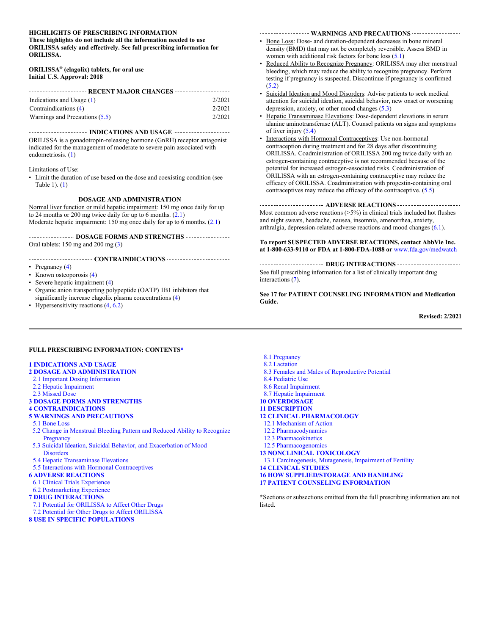#### **HIGHLIGHTS OF PRESCRIBING INFORMATION**

**These highlights do not include all the information needed to use ORILISSA safely and effectively. See full prescribing information for ORILISSA.**

#### **ORILISSA® (elagolix) tablets, for oral use Initial U.S. Approval: 2018**

| ---------------------- RECENT MAJOR CHANGES -------------------- |        |  |
|------------------------------------------------------------------|--------|--|
| Indications and Usage $(1)$                                      | 2/2021 |  |
| Contraindications (4)                                            | 2/2021 |  |
| Warnings and Precautions (5.5)                                   | 2/2021 |  |

**INDICATIONS AND USAGE** --------------------ORILISSA is a gonadotropin-releasing hormone (GnRH) receptor antagonist indicated for the management of moderate to severe pain associated with endometriosis. [\(1\)](#page-1-3)

#### Limitations of Use:

• Limit the duration of use based on the dose and coexisting condition (see Table 1). [\(1\)](#page-1-3)

**THE EXECUTIVE SET OF STATE SET OF A DISTURBER AND ADMINISTRATION** Normal liver function or mild hepatic impairment: 150 mg once daily for up to 24 months or 200 mg twice daily for up to 6 months.  $(2.1)$ Moderate hepatic impairment: 150 mg once daily for up to 6 months. [\(2.1\)](#page-1-1)

**DOSAGE FORMS AND STRENGTHS** ----------------Oral tablets: 150 mg and 200 mg [\(3\)](#page-2-3)

#### **CONTRAINDICATIONS**

- Pregnancy [\(4\)](#page-2-2)
- Known osteoporosis [\(4\)](#page-2-2)
- Severe hepatic impairment [\(4\)](#page-2-2)
- Organic anion transporting polypeptide (OATP) 1B1 inhibitors that significantly increase elagolix plasma concentrations [\(4\)](#page-2-2)
- Hypersensitivity reactions  $(4, 6.2)$  $(4, 6.2)$

------------------ WARNINGS AND PRECAUTIONS ------------------

- Bone Loss: Dose- and duration-dependent decreases in bone mineral density (BMD) that may not be completely reversible. Assess BMD in women with additional risk factors for bone loss  $(5.1)$
- Reduced Ability to Recognize Pregnancy: ORILISSA may alter menstrual bleeding, which may reduce the ability to recognize pregnancy. Perform testing if pregnancy is suspected. Discontinue if pregnancy is confirmed  $(5.2)$
- Suicidal Ideation and Mood Disorders: Advise patients to seek medical attention for suicidal ideation, suicidal behavior, new onset or worsening depression, anxiety, or other mood changes [\(5.3\)](#page-3-2)
- Hepatic Transaminase Elevations: Dose-dependent elevations in serum alanine aminotransferase (ALT). Counsel patients on signs and symptoms of liver injury [\(5.4\)](#page-3-1)
- Interactions with Hormonal Contraceptives: Use non-hormonal contraception during treatment and for 28 days after discontinuing ORILISSA. Coadministration of ORILISSA 200 mg twice daily with an estrogen-containing contraceptive is not recommended because of the potential for increased estrogen-associated risks. Coadministration of ORILISSA with an estrogen-containing contraceptive may reduce the efficacy of ORILISSA. Coadministration with progestin-containing oral contraceptives may reduce the efficacy of the contraceptive. [\(5.5\)](#page-3-0)

#### ----------------------- ADVERSE REACTIONS ------------------------

Most common adverse reactions  $(>=5\%)$  in clinical trials included hot flushes and night sweats, headache, nausea, insomnia, amenorrhea, anxiety, arthralgia, depression-related adverse reactions and mood changes [\(6.1\)](#page-4-0).

#### **To report SUSPECTED ADVERSE REACTIONS, contact AbbVie Inc. at 1-800-633-9110 or FDA at 1-800-FDA-1088 or** [www.fda.gov/medwatch](https://www.fda.gov/safety/medwatch-fda-safety-information-and-adverse-event-reporting-program)

----------------------- DRUG INTERACTIONS ------------------------See full prescribing information for a list of clinically important drug interactions [\(7\)](#page-11-2).

**See 17 for PATIENT COUNSELING INFORMATION and Medication Guide.**

**Revised: 2/2021**

#### **FULL PRESCRIBING INFORMATION: CONTENT[S\\*](#page-0-0)**

#### **[1 INDICATIONS AND USAGE](#page-1-3)**

#### **[2 DOSAGE AND ADMINISTRATION](#page-1-2)**

- [2.1 Important Dosing Information](#page-1-1)
- [2.2 Hepatic Impairment](#page-1-0)
- [2.3 Missed Dose](#page-2-4)

#### **[3 DOSAGE FORMS AND STRENGTHS](#page-2-3)**

**[4 CONTRAINDICATIONS](#page-2-2)**

#### **[5 WARNINGS AND PRECAUTIONS](#page-2-1)**

- [5.1 Bone Loss](#page-2-0)
- [5.2 Change in Menstrual Bleeding Pattern and Reduced Ability to Recognize](#page-3-3)  **[Pregnancy](#page-3-3)**
- [5.3 Suicidal Ideation, Suicidal Behavior, and Exacerbation of Mood](#page-3-2)  **[Disorders](#page-3-2)**
- [5.4 Hepatic Transaminase Elevations](#page-3-1)
- [5.5 Interactions with Hormonal Contraceptives](#page-3-0)

#### **[6 ADVERSE REACTIONS](#page-4-1)**

- [6.1 Clinical Trials Experience](#page-4-0)
- [6.2 Postmarketing](#page-11-2) Experience

#### <span id="page-0-0"></span>**[7 DRUG INTERACTIONS](#page-11-1)**

- [7.1 Potential for ORILISSA to Affect Other Drugs](#page-11-0)
- [7.2 Potential for Other Drugs to Affect ORILISSA](#page-12-2)

#### **[8 USE IN SPECIFIC POPULATIONS](#page-12-1)**

- [8.1 Pregnancy](#page-12-0)
- [8.2 Lactation](#page-14-3)
- [8.3 Females and Males of Reproductive Potential](#page-14-2)
- [8.4 Pediatric Use](#page-14-1)
- [8.6 Renal Impairment](#page-14-0)
- [8.7 Hepatic Impairment](#page-15-2)
- **[10 OVERDOSAGE](#page-15-1)**
- **[11 DESCRIPTION](#page-15-0)**
- **[12 CLINICAL PHARMACOLOGY](#page-16-3)**
- [12.1 Mechanism of Action](#page-16-2)
- [12.2 Pharmacodynamics](#page-16-1)
- [12.3 Pharmacokinetics](#page-16-0)
- [12.5 Pharmacogenomics](#page-19-0)
- **[13 NONCLINICAL TOXICOLOGY](#page-20-2)** [13.1 Carcinogenesis, Mutagenesis, Impairment of Fertility](#page-20-1) **[14 CLINICAL STUDIES](#page-20-0) [16 HOW SUPPLIED/STORAGE AND HANDLING](#page-25-1)**
- **[17 PATIENT COUNSELING INFORMATION](#page-25-0)**

**\***Sections or subsections omitted from the full prescribing information are not listed.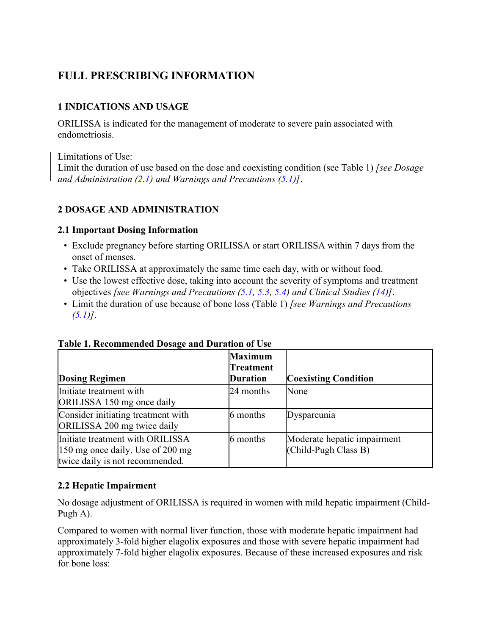# **FULL PRESCRIBING INFORMATION**

## <span id="page-1-3"></span>**1 INDICATIONS AND USAGE**

ORILISSA is indicated for the management of moderate to severe pain associated with endometriosis.

## Limitations of Use:

Limit the duration of use based on the dose and coexisting condition (see Table 1) *[see Dosage and Administration [\(2.1\)](#page-1-1) and Warnings and Precautions [\(5.1\)](#page-2-0)]*.

## <span id="page-1-2"></span>**2 DOSAGE AND ADMINISTRATION**

## <span id="page-1-1"></span>**2.1 Important Dosing Information**

- Exclude pregnancy before starting ORILISSA or start ORILISSA within 7 days from the onset of menses.
- Take ORILISSA at approximately the same time each day, with or without food.
- Use the lowest effective dose, taking into account the severity of symptoms and treatment objectives *[see Warnings and Precautions [\(5.1,](#page-2-0) [5.3,](#page-3-2) [5.4\)](#page-3-1) and Clinical Studies [\(14\)](#page-20-0)]*.
- Limit the duration of use because of bone loss (Table 1) *[see Warnings and Precautions*   $(5.1)$ .

|                                                                                                         | <b>Maximum</b><br><b>Treatment</b> |                                                       |
|---------------------------------------------------------------------------------------------------------|------------------------------------|-------------------------------------------------------|
| <b>Dosing Regimen</b>                                                                                   | <b>Duration</b>                    | <b>Coexisting Condition</b>                           |
| Initiate treatment with<br>ORILISSA 150 mg once daily                                                   | 24 months                          | None                                                  |
| Consider initiating treatment with<br>ORILISSA 200 mg twice daily                                       | 6 months                           | Dyspareunia                                           |
| Initiate treatment with ORILISSA<br>150 mg once daily. Use of 200 mg<br>twice daily is not recommended. | 6 months                           | Moderate hepatic impairment<br>$(Child-Pugh Class B)$ |

## **Table 1. Recommended Dosage and Duration of Use**

## <span id="page-1-0"></span>**2.2 Hepatic Impairment**

No dosage adjustment of ORILISSA is required in women with mild hepatic impairment (Child-Pugh A).

Compared to women with normal liver function, those with moderate hepatic impairment had approximately 3-fold higher elagolix exposures and those with severe hepatic impairment had approximately 7-fold higher elagolix exposures. Because of these increased exposures and risk for bone loss: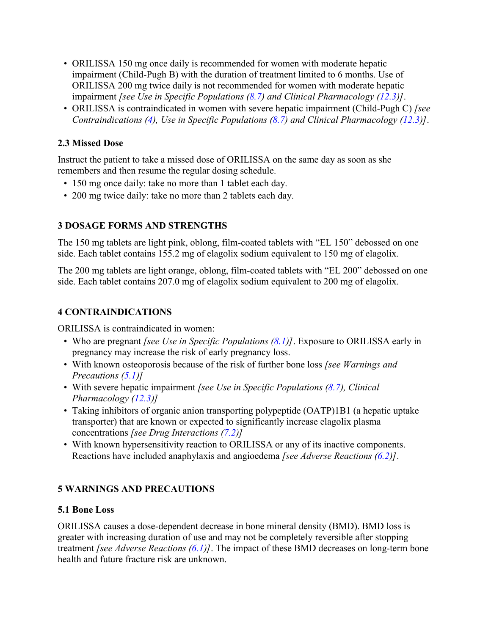- ORILISSA 150 mg once daily is recommended for women with moderate hepatic impairment (Child-Pugh B) with the duration of treatment limited to 6 months. Use of ORILISSA 200 mg twice daily is not recommended for women with moderate hepatic impairment *[see Use in Specific Populations [\(8.7\)](#page-15-2) and Clinical Pharmacology [\(12.3\)](#page-16-0)]*.
- ORILISSA is contraindicated in women with severe hepatic impairment (Child-Pugh C) *[see Contraindications [\(4\)](#page-2-2), Use in Specific Populations [\(8.7\)](#page-15-2) and Clinical Pharmacology [\(12.3\)](#page-16-0)]*.

## <span id="page-2-4"></span>**2.3 Missed Dose**

Instruct the patient to take a missed dose of ORILISSA on the same day as soon as she remembers and then resume the regular dosing schedule.

- 150 mg once daily: take no more than 1 tablet each day.
- 200 mg twice daily: take no more than 2 tablets each day.

## <span id="page-2-3"></span>**3 DOSAGE FORMS AND STRENGTHS**

The 150 mg tablets are light pink, oblong, film-coated tablets with "EL 150" debossed on one side. Each tablet contains 155.2 mg of elagolix sodium equivalent to 150 mg of elagolix.

The 200 mg tablets are light orange, oblong, film-coated tablets with "EL 200" debossed on one side. Each tablet contains 207.0 mg of elagolix sodium equivalent to 200 mg of elagolix.

## <span id="page-2-2"></span>**4 CONTRAINDICATIONS**

ORILISSA is contraindicated in women:

- Who are pregnant *[see Use in Specific Populations [\(8.1\)](#page-12-0)]*. Exposure to ORILISSA early in pregnancy may increase the risk of early pregnancy loss.
- With known osteoporosis because of the risk of further bone loss *[see Warnings and Precautions [\(5.1\)](#page-2-0)]*
- With severe hepatic impairment *[see Use in Specific Populations [\(8.7\)](#page-15-2), Clinical Pharmacology [\(12.3\)](#page-16-0)]*
- Taking inhibitors of organic anion transporting polypeptide (OATP)1B1 (a hepatic uptake transporter) that are known or expected to significantly increase elagolix plasma concentrations *[see Drug Interactions [\(7.2\)](#page-12-2)]*
- With known hypersensitivity reaction to ORILISSA or any of its inactive components. Reactions have included anaphylaxis and angioedema *[see Adverse Reactions [\(6.2\)](#page-11-2)]*.

## <span id="page-2-1"></span>**5 WARNINGS AND PRECAUTIONS**

## <span id="page-2-0"></span>**5.1 Bone Loss**

ORILISSA causes a dose-dependent decrease in bone mineral density (BMD). BMD loss is greater with increasing duration of use and may not be completely reversible after stopping treatment *[see Adverse Reactions [\(6.1\)](#page-4-0)]*. The impact of these BMD decreases on long-term bone health and future fracture risk are unknown.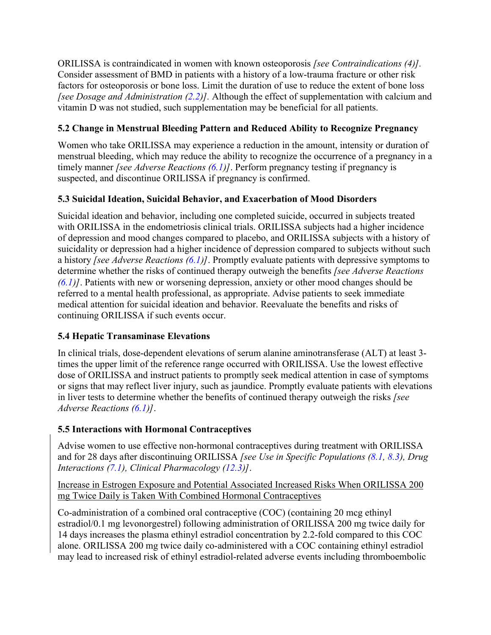<span id="page-3-0"></span>ORILISSA is contraindicated in women with known osteoporosis *[see Contraindications (4)].* Consider assessment of BMD in patients with a history of a low-trauma fracture or other risk factors for osteoporosis or bone loss. Limit the duration of use to reduce the extent of bone loss *[see Dosage and Administration [\(2.2\)](#page-1-0)].* Although the effect of supplementation with calcium and vitamin D was not studied, such supplementation may be beneficial for all patients.

## <span id="page-3-3"></span>**5.2 Change in Menstrual Bleeding Pattern and Reduced Ability to Recognize Pregnancy**

Women who take ORILISSA may experience a reduction in the amount, intensity or duration of menstrual bleeding, which may reduce the ability to recognize the occurrence of a pregnancy in a timely manner *[see Adverse Reactions [\(6.1\)](#page-4-0)]*. Perform pregnancy testing if pregnancy is suspected, and discontinue ORILISSA if pregnancy is confirmed.

## <span id="page-3-2"></span>**5.3 Suicidal Ideation, Suicidal Behavior, and Exacerbation of Mood Disorders**

Suicidal ideation and behavior, including one completed suicide, occurred in subjects treated with ORILISSA in the endometriosis clinical trials. ORILISSA subjects had a higher incidence of depression and mood changes compared to placebo, and ORILISSA subjects with a history of suicidality or depression had a higher incidence of depression compared to subjects without such a history *[see Adverse Reactions [\(6.1\)](#page-4-0)]*. Promptly evaluate patients with depressive symptoms to determine whether the risks of continued therapy outweigh the benefits *[see Adverse Reactions [\(6.1\)](#page-4-0)]*. Patients with new or worsening depression, anxiety or other mood changes should be referred to a mental health professional, as appropriate. Advise patients to seek immediate medical attention for suicidal ideation and behavior. Reevaluate the benefits and risks of continuing ORILISSA if such events occur.

# <span id="page-3-1"></span>**5.4 Hepatic Transaminase Elevations**

In clinical trials, dose-dependent elevations of serum alanine aminotransferase (ALT) at least 3 times the upper limit of the reference range occurred with ORILISSA. Use the lowest effective dose of ORILISSA and instruct patients to promptly seek medical attention in case of symptoms or signs that may reflect liver injury, such as jaundice. Promptly evaluate patients with elevations in liver tests to determine whether the benefits of continued therapy outweigh the risks *[see Adverse Reactions [\(6.1\)](#page-4-0)]*.

# **5.5 Interactions with Hormonal Contraceptives**

Advise women to use effective non-hormonal contraceptives during treatment with ORILISSA and for 28 days after discontinuing ORILISSA *[see Use in Specific Populations [\(8.1,](#page-12-0) [8.3\)](#page-14-2), Drug Interactions [\(7.1\)](#page-11-0), Clinical Pharmacology [\(12.3\)](#page-16-0)]*.

Increase in Estrogen Exposure and Potential Associated Increased Risks When ORILISSA 200 mg Twice Daily is Taken With Combined Hormonal Contraceptives

Co-administration of a combined oral contraceptive (COC) (containing 20 mcg ethinyl estradiol/0.1 mg levonorgestrel) following administration of ORILISSA 200 mg twice daily for 14 days increases the plasma ethinyl estradiol concentration by 2.2-fold compared to this COC alone. ORILISSA 200 mg twice daily co-administered with a COC containing ethinyl estradiol may lead to increased risk of ethinyl estradiol-related adverse events including thromboembolic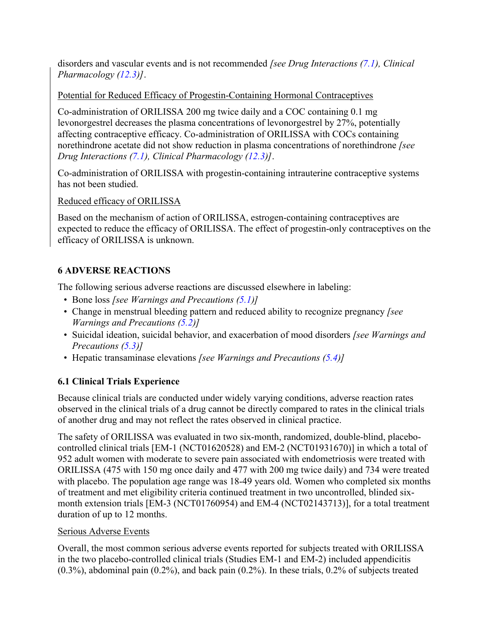disorders and vascular events and is not recommended *[see Drug Interactions (7.1), Clinical Pharmacology [\(12.3\)](#page-16-0)]*.

## Potential for Reduced Efficacy of Progestin-Containing Hormonal Contraceptives

Co-administration of ORILISSA 200 mg twice daily and a COC containing 0.1 mg levonorgestrel decreases the plasma concentrations of levonorgestrel by 27%, potentially affecting contraceptive efficacy. Co-administration of ORILISSA with COCs containing norethindrone acetate did not show reduction in plasma concentrations of norethindrone *[see Drug Interactions (7.1), Clinical Pharmacology [\(12.3\)](#page-16-0)]*.

Co-administration of ORILISSA with progestin-containing intrauterine contraceptive systems has not been studied.

Reduced efficacy of ORILISSA

Based on the mechanism of action of ORILISSA, estrogen-containing contraceptives are expected to reduce the efficacy of ORILISSA. The effect of progestin-only contraceptives on the efficacy of ORILISSA is unknown.

# <span id="page-4-1"></span>**6 ADVERSE REACTIONS**

The following serious adverse reactions are discussed elsewhere in labeling:

- Bone loss *[see Warnings and Precautions [\(5.1\)](#page-2-0)]*
- Change in menstrual bleeding pattern and reduced ability to recognize pregnancy *[see Warnings and Precautions [\(5.2\)](#page-3-3)]*
- Suicidal ideation, suicidal behavior, and exacerbation of mood disorders *[see Warnings and Precautions [\(5.3\)](#page-3-2)]*
- Hepatic transaminase elevations *[see Warnings and Precautions [\(5.4\)](#page-3-1)]*

# <span id="page-4-0"></span>**6.1 Clinical Trials Experience**

Because clinical trials are conducted under widely varying conditions, adverse reaction rates observed in the clinical trials of a drug cannot be directly compared to rates in the clinical trials of another drug and may not reflect the rates observed in clinical practice.

The safety of ORILISSA was evaluated in two six-month, randomized, double-blind, placebocontrolled clinical trials [EM-1 (NCT01620528) and EM-2 (NCT01931670)] in which a total of 952 adult women with moderate to severe pain associated with endometriosis were treated with ORILISSA (475 with 150 mg once daily and 477 with 200 mg twice daily) and 734 were treated with placebo. The population age range was 18-49 years old. Women who completed six months of treatment and met eligibility criteria continued treatment in two uncontrolled, blinded sixmonth extension trials [EM-3 (NCT01760954) and EM-4 (NCT02143713)], for a total treatment duration of up to 12 months.

## Serious Adverse Events

Overall, the most common serious adverse events reported for subjects treated with ORILISSA in the two placebo-controlled clinical trials (Studies EM-1 and EM-2) included appendicitis (0.3%), abdominal pain (0.2%), and back pain (0.2%). In these trials, 0.2% of subjects treated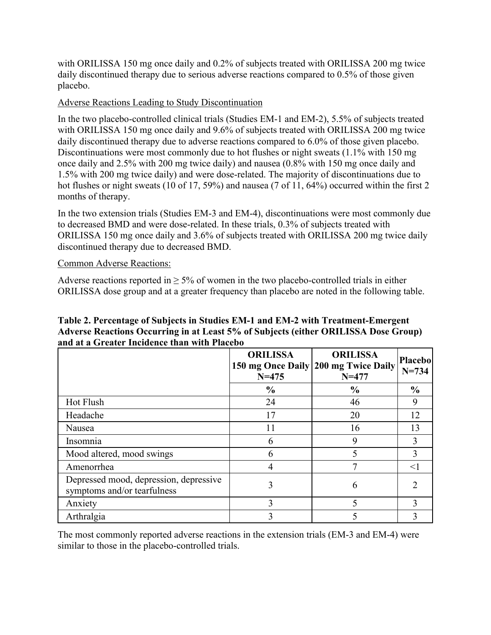with ORILISSA 150 mg once daily and 0.2% of subjects treated with ORILISSA 200 mg twice daily discontinued therapy due to serious adverse reactions compared to 0.5% of those given placebo.

## Adverse Reactions Leading to Study Discontinuation

In the two placebo-controlled clinical trials (Studies EM-1 and EM-2), 5.5% of subjects treated with ORILISSA 150 mg once daily and 9.6% of subjects treated with ORILISSA 200 mg twice daily discontinued therapy due to adverse reactions compared to 6.0% of those given placebo. Discontinuations were most commonly due to hot flushes or night sweats (1.1% with 150 mg) once daily and 2.5% with 200 mg twice daily) and nausea (0.8% with 150 mg once daily and 1.5% with 200 mg twice daily) and were dose-related. The majority of discontinuations due to hot flushes or night sweats (10 of 17, 59%) and nausea (7 of 11, 64%) occurred within the first 2 months of therapy.

In the two extension trials (Studies EM-3 and EM-4), discontinuations were most commonly due to decreased BMD and were dose-related. In these trials, 0.3% of subjects treated with ORILISSA 150 mg once daily and 3.6% of subjects treated with ORILISSA 200 mg twice daily discontinued therapy due to decreased BMD.

### Common Adverse Reactions:

Adverse reactions reported in  $\geq$  5% of women in the two placebo-controlled trials in either ORILISSA dose group and at a greater frequency than placebo are noted in the following table.

### **Table 2. Percentage of Subjects in Studies EM-1 and EM-2 with Treatment-Emergent Adverse Reactions Occurring in at Least 5% of Subjects (either ORILISSA Dose Group) and at a Greater Incidence than with Placebo**

|                                                                       | <b>ORILISSA</b><br>$N = 475$ | <b>ORILISSA</b><br>150 mg Once Daily 200 mg Twice Daily<br>$N = 477$ | <b>Placebo</b><br>$N = 734$ |
|-----------------------------------------------------------------------|------------------------------|----------------------------------------------------------------------|-----------------------------|
|                                                                       | $\frac{0}{0}$                | $\frac{0}{0}$                                                        | $\frac{6}{6}$               |
| <b>Hot Flush</b>                                                      | 24                           | 46                                                                   | 9                           |
| Headache                                                              | 17                           | 20                                                                   | 12                          |
| Nausea                                                                | 11                           | 16                                                                   | 13                          |
| Insomnia                                                              | 6                            | 9                                                                    |                             |
| Mood altered, mood swings                                             | 6                            |                                                                      |                             |
| Amenorrhea                                                            | 4                            | 7                                                                    | $\leq$                      |
| Depressed mood, depression, depressive<br>symptoms and/or tearfulness | 3                            | 6                                                                    |                             |
| Anxiety                                                               | 3                            |                                                                      | 3                           |
| Arthralgia                                                            | 3                            |                                                                      |                             |

The most commonly reported adverse reactions in the extension trials (EM-3 and EM-4) were similar to those in the placebo-controlled trials.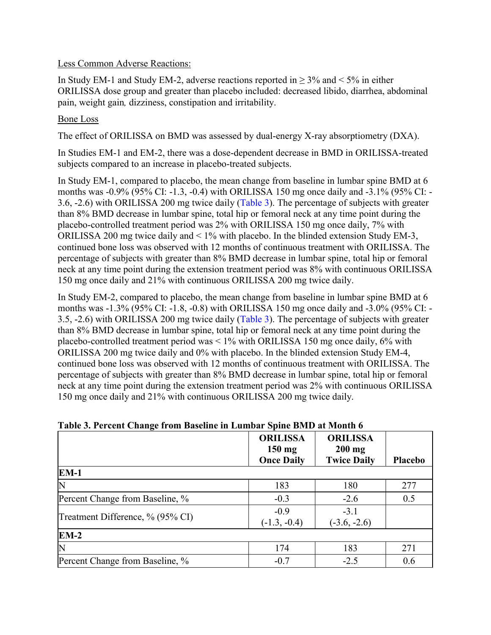#### Less Common Adverse Reactions:

In Study EM-1 and Study EM-2, adverse reactions reported in  $\geq$  3% and < 5% in either ORILISSA dose group and greater than placebo included: decreased libido, diarrhea, abdominal pain, weight gain*,* dizziness, constipation and irritability.

### Bone Loss

The effect of ORILISSA on BMD was assessed by dual-energy X-ray absorptiometry (DXA).

In Studies EM-1 and EM-2, there was a dose-dependent decrease in BMD in ORILISSA-treated subjects compared to an increase in placebo-treated subjects.

In Study EM-1, compared to placebo, the mean change from baseline in lumbar spine BMD at 6 months was -0.9% (95% CI: -1.3, -0.4) with ORILISSA 150 mg once daily and -3.1% (95% CI: - 3.6, -2.6) with ORILISSA 200 mg twice daily [\(Table 3\)](#page-6-0). The percentage of subjects with greater than 8% BMD decrease in lumbar spine, total hip or femoral neck at any time point during the placebo-controlled treatment period was 2% with ORILISSA 150 mg once daily, 7% with ORILISSA 200 mg twice daily and < 1% with placebo. In the blinded extension Study EM-3, continued bone loss was observed with 12 months of continuous treatment with ORILISSA. The percentage of subjects with greater than 8% BMD decrease in lumbar spine, total hip or femoral neck at any time point during the extension treatment period was 8% with continuous ORILISSA 150 mg once daily and 21% with continuous ORILISSA 200 mg twice daily.

In Study EM-2, compared to placebo, the mean change from baseline in lumbar spine BMD at 6 months was -1.3% (95% CI: -1.8, -0.8) with ORILISSA 150 mg once daily and -3.0% (95% CI: - 3.5, -2.6) with ORILISSA 200 mg twice daily [\(Table 3\)](#page-6-0). The percentage of subjects with greater than 8% BMD decrease in lumbar spine, total hip or femoral neck at any time point during the placebo-controlled treatment period was < 1% with ORILISSA 150 mg once daily, 6% with ORILISSA 200 mg twice daily and 0% with placebo. In the blinded extension Study EM-4, continued bone loss was observed with 12 months of continuous treatment with ORILISSA. The percentage of subjects with greater than 8% BMD decrease in lumbar spine, total hip or femoral neck at any time point during the extension treatment period was 2% with continuous ORILISSA 150 mg once daily and 21% with continuous ORILISSA 200 mg twice daily.

|                                  | <b>ORILISSA</b><br>$150$ mg | <b>ORILISSA</b><br>$200$ mg |         |  |
|----------------------------------|-----------------------------|-----------------------------|---------|--|
|                                  | <b>Once Daily</b>           | <b>Twice Daily</b>          | Placebo |  |
| $EM-1$                           |                             |                             |         |  |
| N                                | 183                         | 180                         | 277     |  |
| Percent Change from Baseline, %  | $-0.3$                      | $-2.6$                      | 0.5     |  |
| Treatment Difference, % (95% CI) | $-0.9$                      | $-3.1$                      |         |  |
|                                  | $(-1.3, -0.4)$              | $(-3.6, -2.6)$              |         |  |
| $EM-2$                           |                             |                             |         |  |
| N                                | 174                         | 183                         | 271     |  |
| Percent Change from Baseline, %  | $-0.7$                      | $-2.5$                      | 0.6     |  |

## <span id="page-6-0"></span>**Table 3. Percent Change from Baseline in Lumbar Spine BMD at Month 6**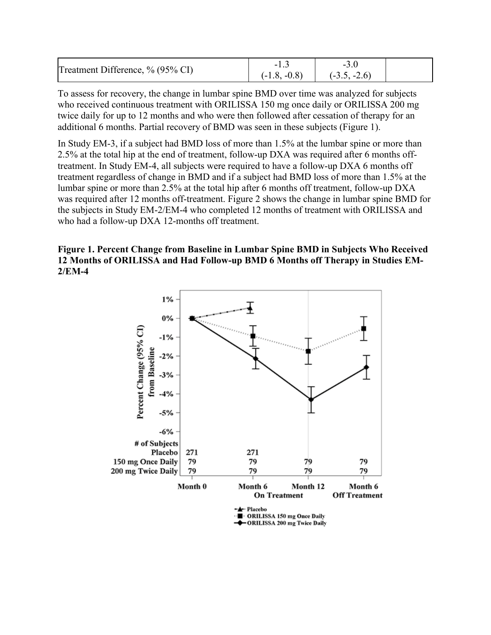| Treatment Difference, % (95% CI) | $(-1.8, -0.8)$ | $(-3.5, -2.6)$ |  |
|----------------------------------|----------------|----------------|--|

To assess for recovery, the change in lumbar spine BMD over time was analyzed for subjects who received continuous treatment with ORILISSA 150 mg once daily or ORILISSA 200 mg twice daily for up to 12 months and who were then followed after cessation of therapy for an additional 6 months. Partial recovery of BMD was seen in these subjects (Figure 1).

In Study EM-3, if a subject had BMD loss of more than 1.5% at the lumbar spine or more than 2.5% at the total hip at the end of treatment, follow-up DXA was required after 6 months offtreatment. In Study EM-4, all subjects were required to have a follow-up DXA 6 months off treatment regardless of change in BMD and if a subject had BMD loss of more than 1.5% at the lumbar spine or more than 2.5% at the total hip after 6 months off treatment, follow-up DXA was required after 12 months off-treatment. Figure 2 shows the change in lumbar spine BMD for the subjects in Study EM-2/EM-4 who completed 12 months of treatment with ORILISSA and who had a follow-up DXA 12-months off treatment.

### **Figure 1. Percent Change from Baseline in Lumbar Spine BMD in Subjects Who Received 12 Months of ORILISSA and Had Follow-up BMD 6 Months off Therapy in Studies EM-2/EM-4**

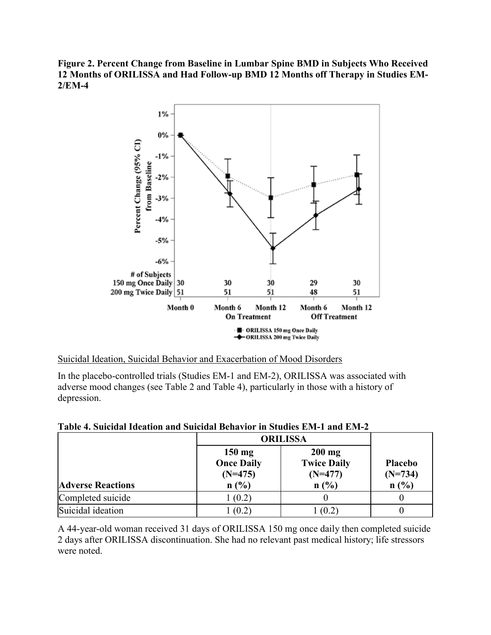**Figure 2. Percent Change from Baseline in Lumbar Spine BMD in Subjects Who Received 12 Months of ORILISSA and Had Follow-up BMD 12 Months off Therapy in Studies EM-2/EM-4**



#### Suicidal Ideation, Suicidal Behavior and Exacerbation of Mood Disorders

In the placebo-controlled trials (Studies EM-1 and EM-2), ORILISSA was associated with adverse mood changes (see Table 2 and Table 4), particularly in those with a history of depression.

|                          | <b>ORILISSA</b>                                            |                                                     |                                     |
|--------------------------|------------------------------------------------------------|-----------------------------------------------------|-------------------------------------|
| <b>Adverse Reactions</b> | $150 \text{ mg}$<br><b>Once Daily</b><br>$(N=475)$<br>n(%) | $200$ mg<br><b>Twice Daily</b><br>$(N=477)$<br>n(%) | <b>Placebo</b><br>$(N=734)$<br>n(%) |
|                          |                                                            |                                                     |                                     |
| Completed suicide        | 1(0.2)                                                     |                                                     |                                     |
| Suicidal ideation        | (0.2)                                                      | (0.2)                                               |                                     |

#### **Table 4. Suicidal Ideation and Suicidal Behavior in Studies EM-1 and EM-2**

A 44-year-old woman received 31 days of ORILISSA 150 mg once daily then completed suicide 2 days after ORILISSA discontinuation. She had no relevant past medical history; life stressors were noted.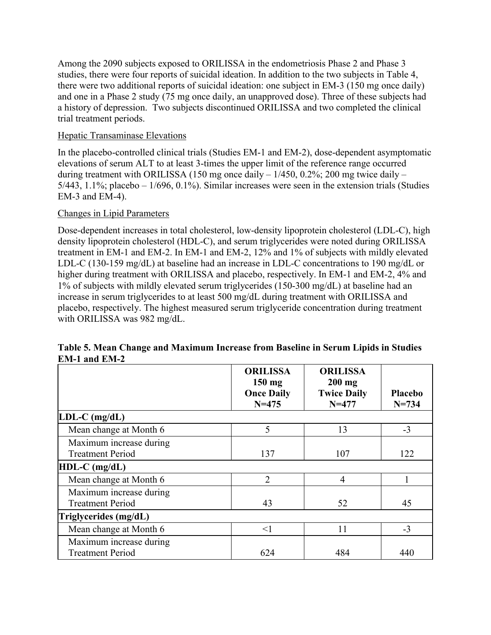Among the 2090 subjects exposed to ORILISSA in the endometriosis Phase 2 and Phase 3 studies, there were four reports of suicidal ideation. In addition to the two subjects in Table 4, there were two additional reports of suicidal ideation: one subject in EM-3 (150 mg once daily) and one in a Phase 2 study (75 mg once daily, an unapproved dose). Three of these subjects had a history of depression. Two subjects discontinued ORILISSA and two completed the clinical trial treatment periods.

### Hepatic Transaminase Elevations

In the placebo-controlled clinical trials (Studies EM-1 and EM-2), dose-dependent asymptomatic elevations of serum ALT to at least 3-times the upper limit of the reference range occurred during treatment with ORILISSA (150 mg once daily  $-1/450$ , 0.2%; 200 mg twice daily  $5/443$ ,  $1.1\%$ ; placebo –  $1/696$ ,  $0.1\%$ ). Similar increases were seen in the extension trials (Studies EM-3 and EM-4).

### Changes in Lipid Parameters

Dose-dependent increases in total cholesterol, low-density lipoprotein cholesterol (LDL-C), high density lipoprotein cholesterol (HDL-C), and serum triglycerides were noted during ORILISSA treatment in EM-1 and EM-2. In EM-1 and EM-2, 12% and 1% of subjects with mildly elevated LDL-C (130-159 mg/dL) at baseline had an increase in LDL-C concentrations to 190 mg/dL or higher during treatment with ORILISSA and placebo, respectively. In EM-1 and EM-2, 4% and 1% of subjects with mildly elevated serum triglycerides (150-300 mg/dL) at baseline had an increase in serum triglycerides to at least 500 mg/dL during treatment with ORILISSA and placebo, respectively. The highest measured serum triglyceride concentration during treatment with ORILISSA was 982 mg/dL.

|                                                    | <b>ORILISSA</b><br>150 mg<br><b>Once Daily</b><br>$N = 475$ | <b>ORILISSA</b><br>$200$ mg<br><b>Twice Daily</b><br>$N = 477$ | <b>Placebo</b><br>$N = 734$ |
|----------------------------------------------------|-------------------------------------------------------------|----------------------------------------------------------------|-----------------------------|
| $LDL-C$ (mg/dL)                                    |                                                             |                                                                |                             |
| Mean change at Month 6                             | 5                                                           | 13                                                             | $-3$                        |
| Maximum increase during<br><b>Treatment Period</b> | 137                                                         | 107                                                            | 122                         |
| $HDL-C$ (mg/dL)                                    |                                                             |                                                                |                             |
| Mean change at Month 6                             | $\overline{2}$                                              | 4                                                              |                             |
| Maximum increase during<br><b>Treatment Period</b> | 43                                                          | 52                                                             | 45                          |
| Triglycerides (mg/dL)                              |                                                             |                                                                |                             |
| Mean change at Month 6                             | $\leq$ 1                                                    | 11                                                             | $-3$                        |
| Maximum increase during<br><b>Treatment Period</b> | 624                                                         | 484                                                            | 440                         |

### **Table 5. Mean Change and Maximum Increase from Baseline in Serum Lipids in Studies EM-1 and EM-2**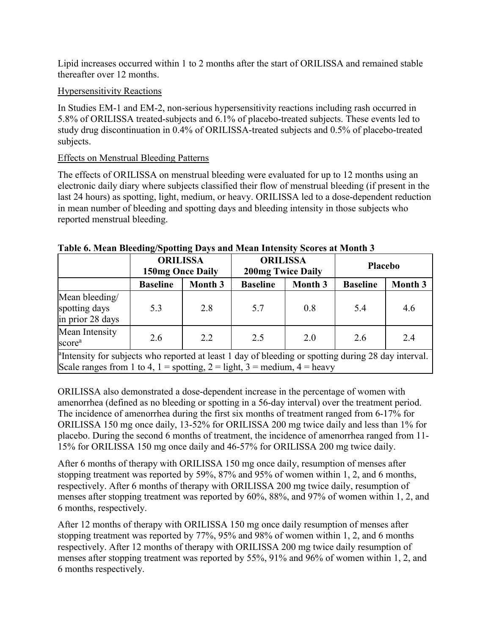Lipid increases occurred within 1 to 2 months after the start of ORILISSA and remained stable thereafter over 12 months.

## Hypersensitivity Reactions

In Studies EM-1 and EM-2, non-serious hypersensitivity reactions including rash occurred in 5.8% of ORILISSA treated-subjects and 6.1% of placebo-treated subjects. These events led to study drug discontinuation in 0.4% of ORILISSA-treated subjects and 0.5% of placebo-treated subjects.

## Effects on Menstrual Bleeding Patterns

The effects of ORILISSA on menstrual bleeding were evaluated for up to 12 months using an electronic daily diary where subjects classified their flow of menstrual bleeding (if present in the last 24 hours) as spotting, light, medium, or heavy. ORILISSA led to a dose-dependent reduction in mean number of bleeding and spotting days and bleeding intensity in those subjects who reported menstrual bleeding.

|                                                                                                                                                                                             | <b>ORILISSA</b><br><b>150mg Once Daily</b> |                | <b>ORILISSA</b><br><b>200mg Twice Daily</b> |                | <b>Placebo</b>  |         |
|---------------------------------------------------------------------------------------------------------------------------------------------------------------------------------------------|--------------------------------------------|----------------|---------------------------------------------|----------------|-----------------|---------|
|                                                                                                                                                                                             | <b>Baseline</b>                            | <b>Month 3</b> | <b>Baseline</b>                             | <b>Month 3</b> | <b>Baseline</b> | Month 3 |
| Mean bleeding/<br>spotting days<br>in prior 28 days                                                                                                                                         | 5.3                                        | 2.8            | 5.7                                         | 0.8            | 5.4             | 4.6     |
| Mean Intensity<br>score <sup>a</sup>                                                                                                                                                        | 2.6                                        | 2.2            | 2.5                                         | 2.0            | 2.6             | 2.4     |
| <sup>a</sup> Intensity for subjects who reported at least 1 day of bleeding or spotting during 28 day interval.<br>Scale ranges from 1 to 4, 1 = spotting, 2 = light, 3 = medium, 4 = heavy |                                            |                |                                             |                |                 |         |

## **Table 6. Mean Bleeding/Spotting Days and Mean Intensity Scores at Month 3**

ORILISSA also demonstrated a dose-dependent increase in the percentage of women with amenorrhea (defined as no bleeding or spotting in a 56-day interval) over the treatment period. The incidence of amenorrhea during the first six months of treatment ranged from 6-17% for ORILISSA 150 mg once daily, 13-52% for ORILISSA 200 mg twice daily and less than 1% for placebo. During the second 6 months of treatment, the incidence of amenorrhea ranged from 11- 15% for ORILISSA 150 mg once daily and 46-57% for ORILISSA 200 mg twice daily.

After 6 months of therapy with ORILISSA 150 mg once daily, resumption of menses after stopping treatment was reported by 59%, 87% and 95% of women within 1, 2, and 6 months, respectively. After 6 months of therapy with ORILISSA 200 mg twice daily, resumption of menses after stopping treatment was reported by 60%, 88%, and 97% of women within 1, 2, and 6 months, respectively.

After 12 months of therapy with ORILISSA 150 mg once daily resumption of menses after stopping treatment was reported by 77%, 95% and 98% of women within 1, 2, and 6 months respectively. After 12 months of therapy with ORILISSA 200 mg twice daily resumption of menses after stopping treatment was reported by 55%, 91% and 96% of women within 1, 2, and 6 months respectively.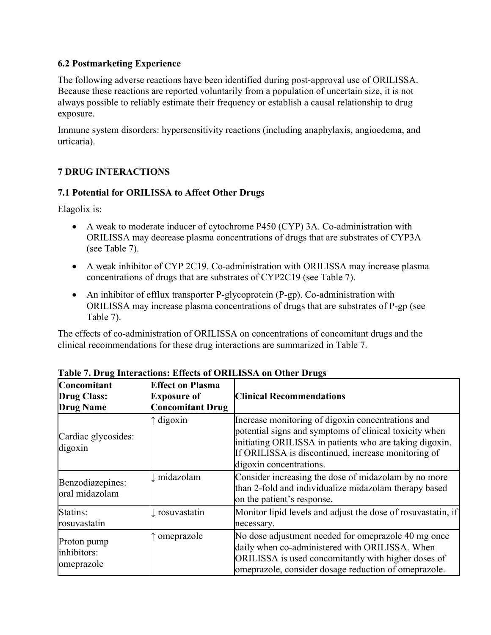## <span id="page-11-2"></span>**6.2 Postmarketing Experience**

The following adverse reactions have been identified during post-approval use of ORILISSA. Because these reactions are reported voluntarily from a population of uncertain size, it is not always possible to reliably estimate their frequency or establish a causal relationship to drug exposure.

Immune system disorders: hypersensitivity reactions (including anaphylaxis, angioedema, and urticaria).

## <span id="page-11-1"></span>**7 DRUG INTERACTIONS**

## <span id="page-11-0"></span>**7.1 Potential for ORILISSA to Affect Other Drugs**

Elagolix is:

- A weak to moderate inducer of cytochrome P450 (CYP) 3A. Co-administration with ORILISSA may decrease plasma concentrations of drugs that are substrates of CYP3A (see Table 7).
- A weak inhibitor of CYP 2C19. Co-administration with ORILISSA may increase plasma concentrations of drugs that are substrates of CYP2C19 (see Table 7).
- An inhibitor of efflux transporter P-glycoprotein (P-gp). Co-administration with ORILISSA may increase plasma concentrations of drugs that are substrates of P-gp (see Table 7).

The effects of co-administration of ORILISSA on concentrations of concomitant drugs and the clinical recommendations for these drug interactions are summarized in Table 7.

| Concomitant<br><b>Drug Class:</b><br><b>Drug Name</b> | <b>Effect on Plasma</b><br><b>Exposure of</b><br><b>Concomitant Drug</b> | <b>Clinical Recommendations</b>                                                                                                                                                                                                                          |
|-------------------------------------------------------|--------------------------------------------------------------------------|----------------------------------------------------------------------------------------------------------------------------------------------------------------------------------------------------------------------------------------------------------|
| Cardiac glycosides:<br>digoxin                        | $\uparrow$ digoxin                                                       | Increase monitoring of digoxin concentrations and<br>potential signs and symptoms of clinical toxicity when<br>initiating ORILISSA in patients who are taking digoxin.<br>If ORILISSA is discontinued, increase monitoring of<br>digoxin concentrations. |
| Benzodiazepines:<br>oral midazolam                    | ↓ midazolam                                                              | Consider increasing the dose of midazolam by no more<br>than 2-fold and individualize midazolam therapy based<br>on the patient's response.                                                                                                              |
| Statins:<br>rosuvastatin                              | ↓ rosuvastatin                                                           | Monitor lipid levels and adjust the dose of rosuvastatin, if<br>necessary.                                                                                                                                                                               |
| Proton pump<br>inhibitors:<br>omeprazole              | omeprazole                                                               | No dose adjustment needed for omeprazole 40 mg once<br>daily when co-administered with ORILISSA. When<br>ORILISSA is used concomitantly with higher doses of<br>omeprazole, consider dosage reduction of omeprazole.                                     |

## **Table 7. Drug Interactions: Effects of ORILISSA on Other Drugs**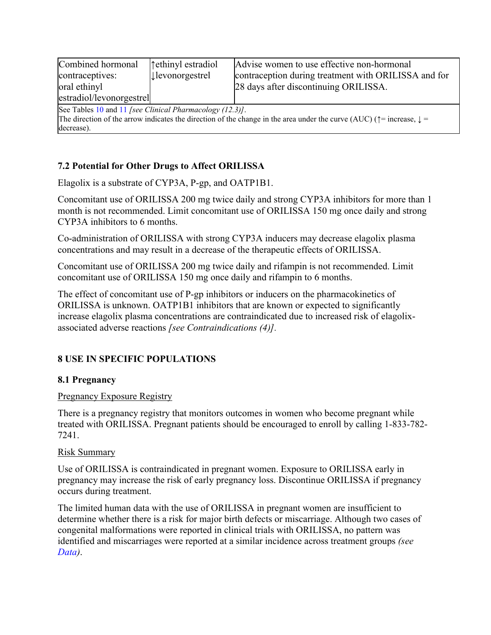| Combined hormonal<br>contraceptives:<br>oral ethinyl<br>estradiol/levonorgestrel                                                                                                                                     | tethinyl estradiol<br><b>Jevonorgestrel</b> | Advise women to use effective non-hormonal<br>contraception during treatment with ORILISSA and for<br>28 days after discontinuing ORILISSA. |  |
|----------------------------------------------------------------------------------------------------------------------------------------------------------------------------------------------------------------------|---------------------------------------------|---------------------------------------------------------------------------------------------------------------------------------------------|--|
| See Tables 10 and 11 [see Clinical Pharmacology (12.3)].<br>The direction of the arrow indicates the direction of the change in the area under the curve (AUC) ( $\uparrow$ = increase, $\downarrow$ =<br>decrease). |                                             |                                                                                                                                             |  |

## <span id="page-12-2"></span>**7.2 Potential for Other Drugs to Affect ORILISSA**

Elagolix is a substrate of CYP3A, P-gp, and OATP1B1.

Concomitant use of ORILISSA 200 mg twice daily and strong CYP3A inhibitors for more than 1 month is not recommended. Limit concomitant use of ORILISSA 150 mg once daily and strong CYP3A inhibitors to 6 months.

Co-administration of ORILISSA with strong CYP3A inducers may decrease elagolix plasma concentrations and may result in a decrease of the therapeutic effects of ORILISSA.

Concomitant use of ORILISSA 200 mg twice daily and rifampin is not recommended. Limit concomitant use of ORILISSA 150 mg once daily and rifampin to 6 months.

The effect of concomitant use of P-gp inhibitors or inducers on the pharmacokinetics of ORILISSA is unknown. OATP1B1 inhibitors that are known or expected to significantly increase elagolix plasma concentrations are contraindicated due to increased risk of elagolixassociated adverse reactions *[see Contraindications [\(4\)\]](#page-2-2).*

# <span id="page-12-1"></span>**8 USE IN SPECIFIC POPULATIONS**

## <span id="page-12-0"></span>**8.1 Pregnancy**

## Pregnancy Exposure Registry

There is a pregnancy registry that monitors outcomes in women who become pregnant while treated with ORILISSA. Pregnant patients should be encouraged to enroll by calling 1-833-782- 7241.

## Risk Summary

Use of ORILISSA is contraindicated in pregnant women. Exposure to ORILISSA early in pregnancy may increase the risk of early pregnancy loss. Discontinue ORILISSA if pregnancy occurs during treatment.

The limited human data with the use of ORILISSA in pregnant women are insufficient to determine whether there is a risk for major birth defects or miscarriage. Although two cases of congenital malformations were reported in clinical trials with ORILISSA, no pattern was identified and miscarriages were reported at a similar incidence across treatment groups *(see [Data\)](#page-13-0)*.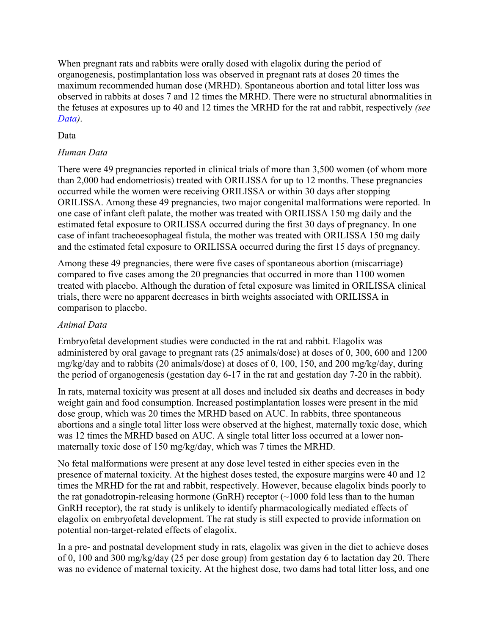When pregnant rats and rabbits were orally dosed with elagolix during the period of organogenesis, postimplantation loss was observed in pregnant rats at doses 20 times the maximum recommended human dose (MRHD). Spontaneous abortion and total litter loss was observed in rabbits at doses 7 and 12 times the MRHD. There were no structural abnormalities in the fetuses at exposures up to 40 and 12 times the MRHD for the rat and rabbit, respectively *(see [Data\)](#page-13-0)*.

## <span id="page-13-0"></span>Data

## *Human Data*

There were 49 pregnancies reported in clinical trials of more than 3,500 women (of whom more than 2,000 had endometriosis) treated with ORILISSA for up to 12 months. These pregnancies occurred while the women were receiving ORILISSA or within 30 days after stopping ORILISSA. Among these 49 pregnancies, two major congenital malformations were reported. In one case of infant cleft palate, the mother was treated with ORILISSA 150 mg daily and the estimated fetal exposure to ORILISSA occurred during the first 30 days of pregnancy. In one case of infant tracheoesophageal fistula, the mother was treated with ORILISSA 150 mg daily and the estimated fetal exposure to ORILISSA occurred during the first 15 days of pregnancy.

Among these 49 pregnancies, there were five cases of spontaneous abortion (miscarriage) compared to five cases among the 20 pregnancies that occurred in more than 1100 women treated with placebo. Although the duration of fetal exposure was limited in ORILISSA clinical trials, there were no apparent decreases in birth weights associated with ORILISSA in comparison to placebo.

## *Animal Data*

Embryofetal development studies were conducted in the rat and rabbit. Elagolix was administered by oral gavage to pregnant rats (25 animals/dose) at doses of 0, 300, 600 and 1200 mg/kg/day and to rabbits (20 animals/dose) at doses of 0, 100, 150, and 200 mg/kg/day, during the period of organogenesis (gestation day 6-17 in the rat and gestation day 7-20 in the rabbit).

In rats, maternal toxicity was present at all doses and included six deaths and decreases in body weight gain and food consumption. Increased postimplantation losses were present in the mid dose group, which was 20 times the MRHD based on AUC. In rabbits, three spontaneous abortions and a single total litter loss were observed at the highest, maternally toxic dose, which was 12 times the MRHD based on AUC. A single total litter loss occurred at a lower nonmaternally toxic dose of 150 mg/kg/day, which was 7 times the MRHD.

No fetal malformations were present at any dose level tested in either species even in the presence of maternal toxicity. At the highest doses tested, the exposure margins were 40 and 12 times the MRHD for the rat and rabbit, respectively. However, because elagolix binds poorly to the rat gonadotropin-releasing hormone (GnRH) receptor  $(\sim 1000$  fold less than to the human GnRH receptor), the rat study is unlikely to identify pharmacologically mediated effects of elagolix on embryofetal development. The rat study is still expected to provide information on potential non-target-related effects of elagolix.

In a pre- and postnatal development study in rats, elagolix was given in the diet to achieve doses of 0, 100 and 300 mg/kg/day (25 per dose group) from gestation day 6 to lactation day 20. There was no evidence of maternal toxicity. At the highest dose, two dams had total litter loss, and one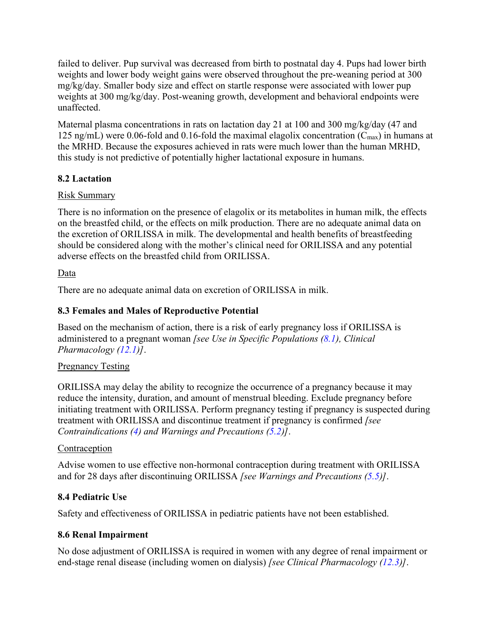failed to deliver. Pup survival was decreased from birth to postnatal day 4. Pups had lower birth weights and lower body weight gains were observed throughout the pre-weaning period at 300 mg/kg/day. Smaller body size and effect on startle response were associated with lower pup weights at 300 mg/kg/day. Post-weaning growth, development and behavioral endpoints were unaffected.

Maternal plasma concentrations in rats on lactation day 21 at 100 and 300 mg/kg/day (47 and 125 ng/mL) were 0.06-fold and 0.16-fold the maximal elagolix concentration  $(C_{\text{max}})$  in humans at the MRHD. Because the exposures achieved in rats were much lower than the human MRHD, this study is not predictive of potentially higher lactational exposure in humans.

## <span id="page-14-3"></span>**8.2 Lactation**

## Risk Summary

There is no information on the presence of elagolix or its metabolites in human milk, the effects on the breastfed child, or the effects on milk production. There are no adequate animal data on the excretion of ORILISSA in milk. The developmental and health benefits of breastfeeding should be considered along with the mother's clinical need for ORILISSA and any potential adverse effects on the breastfed child from ORILISSA.

## Data

There are no adequate animal data on excretion of ORILISSA in milk.

## <span id="page-14-2"></span>**8.3 Females and Males of Reproductive Potential**

Based on the mechanism of action, there is a risk of early pregnancy loss if ORILISSA is administered to a pregnant woman *[see Use in Specific Populations [\(8.1\)](#page-12-0), Clinical Pharmacology [\(12.1\)](#page-16-2)]*.

## **Pregnancy Testing**

ORILISSA may delay the ability to recognize the occurrence of a pregnancy because it may reduce the intensity, duration, and amount of menstrual bleeding. Exclude pregnancy before initiating treatment with ORILISSA. Perform pregnancy testing if pregnancy is suspected during treatment with ORILISSA and discontinue treatment if pregnancy is confirmed *[see Contraindications [\(4\)](#page-2-2) and Warnings and Precautions [\(5.2\)](#page-3-3)]*.

## **Contraception**

Advise women to use effective non-hormonal contraception during treatment with ORILISSA and for 28 days after discontinuing ORILISSA *[see Warnings and Precautions [\(5.5\)](#page-3-0)]*.

## <span id="page-14-1"></span>**8.4 Pediatric Use**

Safety and effectiveness of ORILISSA in pediatric patients have not been established.

## <span id="page-14-0"></span>**8.6 Renal Impairment**

No dose adjustment of ORILISSA is required in women with any degree of renal impairment or end-stage renal disease (including women on dialysis) *[see Clinical Pharmacology [\(12.3\)](#page-16-0)]*.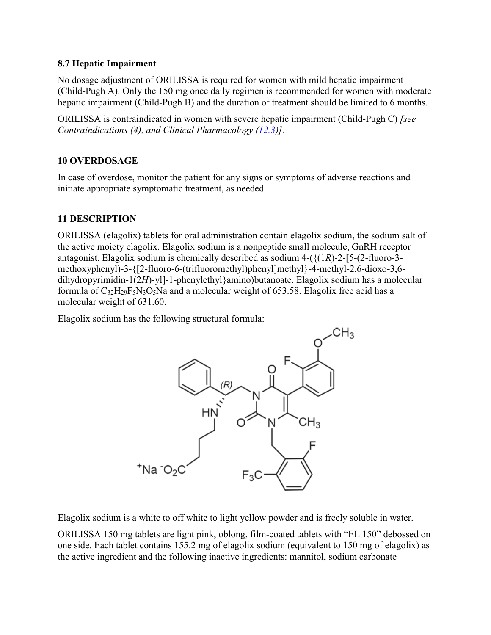## <span id="page-15-2"></span>**8.7 Hepatic Impairment**

No dosage adjustment of ORILISSA is required for women with mild hepatic impairment (Child-Pugh A). Only the 150 mg once daily regimen is recommended for women with moderate hepatic impairment (Child-Pugh B) and the duration of treatment should be limited to 6 months.

ORILISSA is contraindicated in women with severe hepatic impairment (Child-Pugh C) *[see Contraindications (4), and Clinical Pharmacology [\(12.3\)](#page-16-0)]*.

## <span id="page-15-1"></span>**10 OVERDOSAGE**

In case of overdose, monitor the patient for any signs or symptoms of adverse reactions and initiate appropriate symptomatic treatment, as needed.

## <span id="page-15-0"></span>**11 DESCRIPTION**

ORILISSA (elagolix) tablets for oral administration contain elagolix sodium, the sodium salt of the active moiety elagolix. Elagolix sodium is a nonpeptide small molecule, GnRH receptor antagonist. Elagolix sodium is chemically described as sodium 4-( $\{(1R)-2-[5-(2-fluoro-3-d)]\}$ methoxyphenyl)-3-{[2-fluoro-6-(trifluoromethyl)phenyl]methyl}-4-methyl-2,6-dioxo-3,6 dihydropyrimidin-1(2*H*)-yl]-1-phenylethyl}amino)butanoate. Elagolix sodium has a molecular formula of C32H29F5N3O5Na and a molecular weight of 653.58. Elagolix free acid has a molecular weight of 631.60.

Elagolix sodium has the following structural formula:



Elagolix sodium is a white to off white to light yellow powder and is freely soluble in water.

ORILISSA 150 mg tablets are light pink, oblong, film-coated tablets with "EL 150" debossed on one side. Each tablet contains 155.2 mg of elagolix sodium (equivalent to 150 mg of elagolix) as the active ingredient and the following inactive ingredients: mannitol, sodium carbonate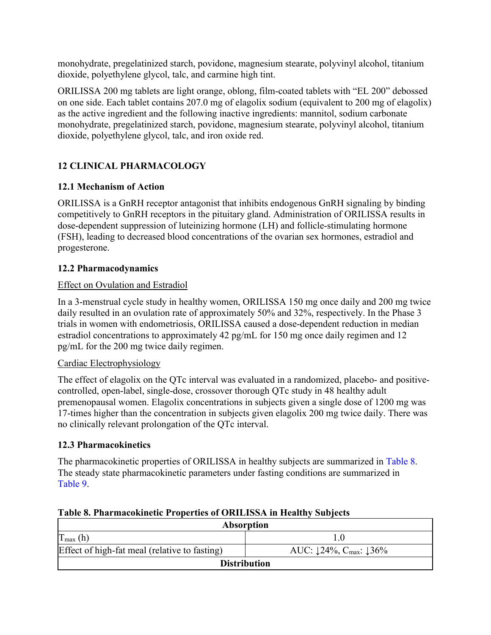monohydrate, pregelatinized starch, povidone, magnesium stearate, polyvinyl alcohol, titanium dioxide, polyethylene glycol, talc, and carmine high tint.

ORILISSA 200 mg tablets are light orange, oblong, film-coated tablets with "EL 200" debossed on one side. Each tablet contains 207.0 mg of elagolix sodium (equivalent to 200 mg of elagolix) as the active ingredient and the following inactive ingredients: mannitol, sodium carbonate monohydrate, pregelatinized starch, povidone, magnesium stearate, polyvinyl alcohol, titanium dioxide, polyethylene glycol, talc, and iron oxide red.

# <span id="page-16-3"></span>**12 CLINICAL PHARMACOLOGY**

# <span id="page-16-2"></span>**12.1 Mechanism of Action**

ORILISSA is a GnRH receptor antagonist that inhibits endogenous GnRH signaling by binding competitively to GnRH receptors in the pituitary gland. Administration of ORILISSA results in dose-dependent suppression of luteinizing hormone (LH) and follicle-stimulating hormone (FSH), leading to decreased blood concentrations of the ovarian sex hormones, estradiol and progesterone.

## <span id="page-16-1"></span>**12.2 Pharmacodynamics**

## Effect on Ovulation and Estradiol

In a 3-menstrual cycle study in healthy women, ORILISSA 150 mg once daily and 200 mg twice daily resulted in an ovulation rate of approximately 50% and 32%, respectively. In the Phase 3 trials in women with endometriosis, ORILISSA caused a dose-dependent reduction in median estradiol concentrations to approximately 42 pg/mL for 150 mg once daily regimen and 12 pg/mL for the 200 mg twice daily regimen.

## Cardiac Electrophysiology

The effect of elagolix on the QTc interval was evaluated in a randomized, placebo- and positivecontrolled, open-label, single-dose, crossover thorough QTc study in 48 healthy adult premenopausal women. Elagolix concentrations in subjects given a single dose of 1200 mg was 17-times higher than the concentration in subjects given elagolix 200 mg twice daily. There was no clinically relevant prolongation of the QTc interval.

## <span id="page-16-0"></span>**12.3 Pharmacokinetics**

The pharmacokinetic properties of ORILISSA in healthy subjects are summarized in [Table 8.](#page-16-4) The steady state pharmacokinetic parameters under fasting conditions are summarized in [Table](#page-17-0) 9.

| <b>Absorption</b>                             |                                           |  |
|-----------------------------------------------|-------------------------------------------|--|
| $I_{\text{max}}(h)$                           |                                           |  |
| Effect of high-fat meal (relative to fasting) | AUC: $124\%$ , C <sub>max</sub> : $136\%$ |  |
| <b>Distribution</b>                           |                                           |  |

## <span id="page-16-4"></span>**Table 8. Pharmacokinetic Properties of ORILISSA in Healthy Subjects**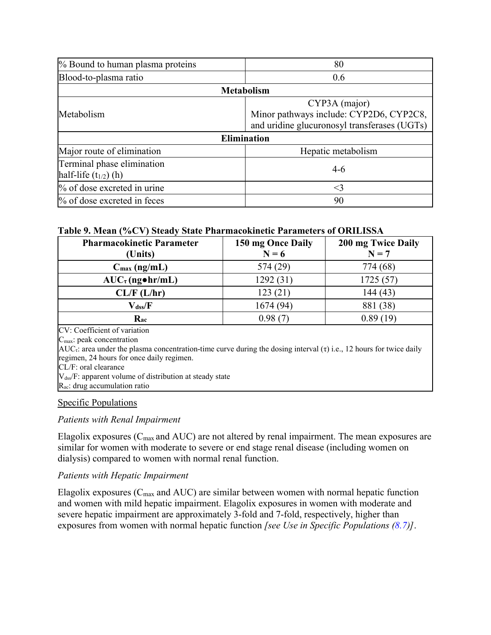| % Bound to human plasma proteins                        | 80                                                                                                       |
|---------------------------------------------------------|----------------------------------------------------------------------------------------------------------|
| Blood-to-plasma ratio                                   | 0.6                                                                                                      |
|                                                         | <b>Metabolism</b>                                                                                        |
| Metabolism                                              | CYP3A (major)<br>Minor pathways include: CYP2D6, CYP2C8,<br>and uridine glucuronosyl transferases (UGTs) |
|                                                         | <b>Elimination</b>                                                                                       |
| Major route of elimination                              | Hepatic metabolism                                                                                       |
| Terminal phase elimination<br>half-life $(t_{1/2})$ (h) | $4-6$                                                                                                    |
| % of dose excreted in urine                             | $<$ 3                                                                                                    |
| % of dose excreted in feces                             | 90                                                                                                       |

## <span id="page-17-0"></span>**Table 9. Mean (%CV) Steady State Pharmacokinetic Parameters of ORILISSA**

| <b>Pharmacokinetic Parameter</b><br>(Units)                                                                                        | 150 mg Once Daily<br>$N = 6$ | 200 mg Twice Daily<br>$N = 7$ |
|------------------------------------------------------------------------------------------------------------------------------------|------------------------------|-------------------------------|
|                                                                                                                                    |                              |                               |
| $C_{\text{max}}$ (ng/mL)                                                                                                           | 574 (29)                     | 774 (68)                      |
| $AUC_{\tau}$ (ng•hr/mL)                                                                                                            | 1292(31)                     | 1725 (57)                     |
| CL/F (L/hr)                                                                                                                        | 123(21)                      | 144(43)                       |
| $V$ <sub>dss</sub> / $F$                                                                                                           | 1674 (94)                    | 881 (38)                      |
| $\mathbf{R}_{ac}$                                                                                                                  | 0.98(7)                      | 0.89(19)                      |
| CV: Coefficient of variation                                                                                                       |                              |                               |
| $Cmax$ : peak concentration                                                                                                        |                              |                               |
| $AUC_{\tau}$ : area under the plasma concentration-time curve during the dosing interval ( $\tau$ ) i.e., 12 hours for twice daily |                              |                               |
| regimen, 24 hours for once daily regimen.                                                                                          |                              |                               |
| $CL/F$ : oral clearance                                                                                                            |                              |                               |
| $V_{dss}/F$ : apparent volume of distribution at steady state                                                                      |                              |                               |
| $R_{ac}$ : drug accumulation ratio                                                                                                 |                              |                               |

#### Specific Populations

#### *Patients with Renal Impairment*

Elagolix exposures  $(C_{\text{max}}$  and  $AUC$ ) are not altered by renal impairment. The mean exposures are similar for women with moderate to severe or end stage renal disease (including women on dialysis) compared to women with normal renal function.

#### *Patients with Hepatic Impairment*

Elagolix exposures ( $C_{\text{max}}$  and AUC) are similar between women with normal hepatic function and women with mild hepatic impairment. Elagolix exposures in women with moderate and severe hepatic impairment are approximately 3-fold and 7-fold, respectively, higher than exposures from women with normal hepatic function *[see Use in Specific Populations [\(8.7\)](#page-15-2)]*.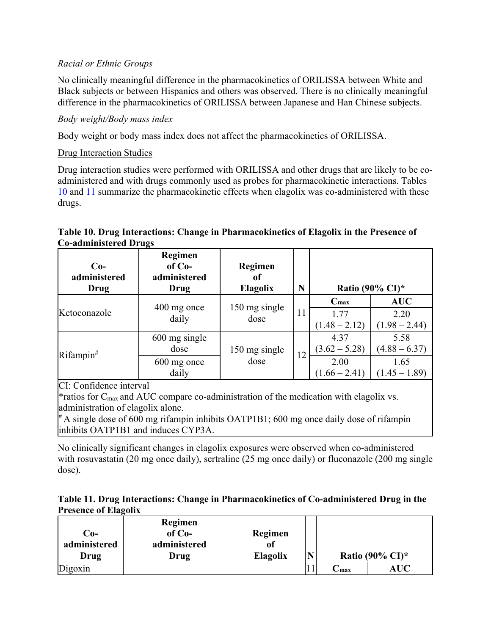## *Racial or Ethnic Groups*

No clinically meaningful difference in the pharmacokinetics of ORILISSA between White and Black subjects or between Hispanics and others was observed. There is no clinically meaningful difference in the pharmacokinetics of ORILISSA between Japanese and Han Chinese subjects.

## *Body weight/Body mass index*

Body weight or body mass index does not affect the pharmacokinetics of ORILISSA.

## Drug Interaction Studies

Drug interaction studies were performed with ORILISSA and other drugs that are likely to be coadministered and with drugs commonly used as probes for pharmacokinetic interactions. Tables [10](#page-18-1) and [11](#page-18-0) summarize the pharmacokinetic effects when elagolix was co-administered with these drugs.

## <span id="page-18-1"></span>**Table 10. Drug Interactions: Change in Pharmacokinetics of Elagolix in the Presence of Co-administered Drugs**

| $Co-$<br>administered<br>Drug | Regimen<br>$of Co-$<br>administered<br>Drug   | Regimen<br>of<br><b>Elagolix</b> | N  |                                                    | Ratio (90% CI)*                                    |
|-------------------------------|-----------------------------------------------|----------------------------------|----|----------------------------------------------------|----------------------------------------------------|
| Ketoconazole                  | 400 mg once<br>daily                          | 150 mg single<br>dose            | 11 | $C_{\text{max}}$<br>1.77<br>$(1.48 - 2.12)$        | <b>AUC</b><br>2.20<br>$(1.98 - 2.44)$              |
| Rifampin#                     | 600 mg single<br>dose<br>600 mg once<br>daily | 150 mg single<br>dose            | 12 | 4.37<br>$(3.62 - 5.28)$<br>2.00<br>$(1.66 - 2.41)$ | 5.58<br>$(4.88 - 6.37)$<br>1.65<br>$(1.45 - 1.89)$ |

CI: Confidence interval

\*ratios for Cmax and AUC compare co-administration of the medication with elagolix vs. administration of elagolix alone.

 $* A$  single dose of 600 mg rifampin inhibits OATP1B1; 600 mg once daily dose of rifampin inhibits OATP1B1 and induces CYP3A.

No clinically significant changes in elagolix exposures were observed when co-administered with rosuvastatin (20 mg once daily), sertraline (25 mg once daily) or fluconazole (200 mg single dose).

<span id="page-18-0"></span>

|                             | Table 11. Drug Interactions: Change in Pharmacokinetics of Co-administered Drug in the |  |  |
|-----------------------------|----------------------------------------------------------------------------------------|--|--|
| <b>Presence of Elagolix</b> |                                                                                        |  |  |

| Co-<br>administered<br>Drug | Regimen<br>$of Co-$<br>administered<br>Drug | Regimen<br>Oİ<br><b>Elagolix</b> | N |      | Ratio (90% CI)* |
|-----------------------------|---------------------------------------------|----------------------------------|---|------|-----------------|
| Digoxin                     |                                             |                                  |   | ∽max | <b>AUC</b>      |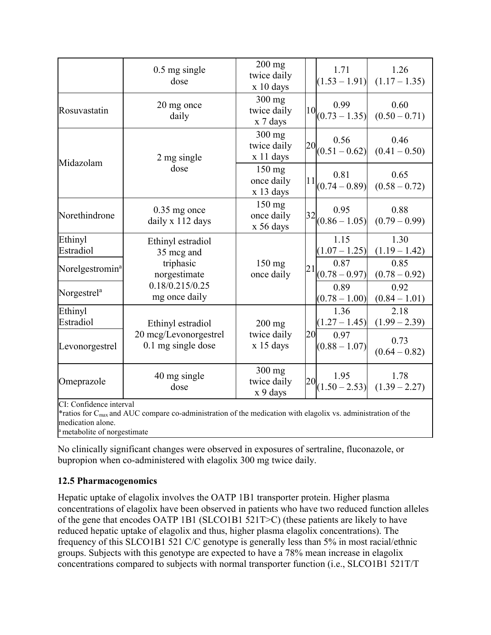|                             | $0.5$ mg single<br>dose                                                 | $200$ mg<br>twice daily<br>x 10 days |                               | 1.71<br>$(1.53 - 1.91)$                     | 1.26<br>$(1.17 - 1.35)$ |
|-----------------------------|-------------------------------------------------------------------------|--------------------------------------|-------------------------------|---------------------------------------------|-------------------------|
| Rosuvastatin                | 20 mg once<br>daily                                                     | $300$ mg<br>twice daily<br>x 7 days  |                               | 0.99<br>$\left  10 \right  (0.73 - 1.35)$   | 0.60<br>$(0.50 - 0.71)$ |
| Midazolam                   | 2 mg single                                                             | $300$ mg<br>twice daily<br>x 11 days |                               | 0.56<br>$\left  20 \right _{(0.51 - 0.62)}$ | 0.46<br>$(0.41 - 0.50)$ |
|                             | dose                                                                    | $150$ mg<br>once daily<br>x 13 days  |                               | 0.81<br>$\left 11\right _{(0.74-0.89)}$     | 0.65<br>$(0.58 - 0.72)$ |
| Norethindrone               | $0.35$ mg once<br>daily x 112 days                                      | 150 mg<br>once daily<br>x 56 days    | 0.95<br>32<br>$(0.86 - 1.05)$ |                                             | 0.88<br>$(0.79 - 0.99)$ |
| Ethinyl<br>Estradiol        | Ethinyl estradiol<br>35 mcg and                                         |                                      |                               | 1.15<br>$(1.07 - 1.25)$                     | 1.30<br>$(1.19 - 1.42)$ |
| Norelgestromin <sup>a</sup> | triphasic<br>norgestimate                                               |                                      | 21                            | 0.87<br>$(0.78 - 0.97)$                     | 0.85<br>$(0.78 - 0.92)$ |
| Norgestrel <sup>a</sup>     | 0.18/0.215/0.25<br>mg once daily                                        |                                      |                               | 0.89<br>$(0.78 - 1.00)$                     | 0.92<br>$(0.84 - 1.01)$ |
| Ethinyl<br>Estradiol        | Ethinyl estradiol                                                       | $200$ mg                             |                               | 1.36<br>$(1.27 - 1.45)$                     | 2.18<br>$(1.99 - 2.39)$ |
| Levonorgestrel              | 20 mcg/Levonorgestrel<br>twice daily<br>0.1 mg single dose<br>x 15 days |                                      | 20                            | 0.97<br>$(0.88 - 1.07)$                     | 0.73<br>$(0.64 - 0.82)$ |
| Omeprazole                  | 40 mg single<br>dose                                                    | $300$ mg<br>twice daily<br>x 9 days  | 20                            | 1.95<br>$(1.50 - 2.53)$                     | 1.78<br>$(1.39 - 2.27)$ |
| CI: Confidence interval     |                                                                         |                                      |                               |                                             |                         |

CI: Confidence interval

\*ratios for Cmax and AUC compare co-administration of the medication with elagolix vs. administration of the medication alone.

<sup>a</sup> metabolite of norgestimate

No clinically significant changes were observed in exposures of sertraline, fluconazole, or bupropion when co-administered with elagolix 300 mg twice daily.

## <span id="page-19-0"></span>**12.5 Pharmacogenomics**

Hepatic uptake of elagolix involves the OATP 1B1 transporter protein. Higher plasma concentrations of elagolix have been observed in patients who have two reduced function alleles of the gene that encodes OATP 1B1 (SLCO1B1 521T>C) (these patients are likely to have reduced hepatic uptake of elagolix and thus, higher plasma elagolix concentrations). The frequency of this SLCO1B1 521 C/C genotype is generally less than 5% in most racial/ethnic groups. Subjects with this genotype are expected to have a 78% mean increase in elagolix concentrations compared to subjects with normal transporter function (i.e., SLCO1B1 521T/T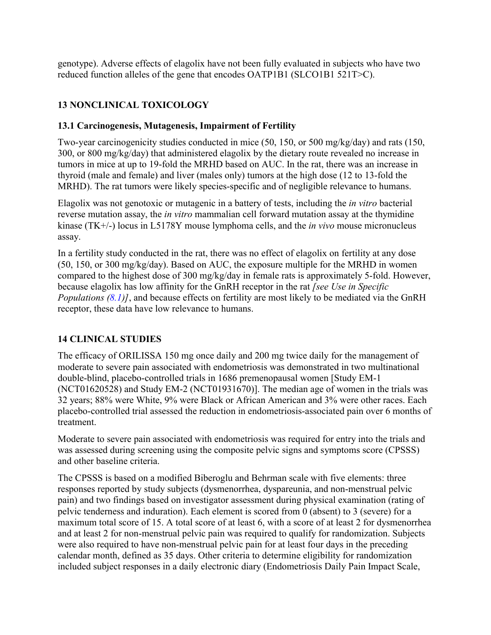genotype). Adverse effects of elagolix have not been fully evaluated in subjects who have two reduced function alleles of the gene that encodes OATP1B1 (SLCO1B1 521T>C).

# <span id="page-20-2"></span>**13 NONCLINICAL TOXICOLOGY**

## <span id="page-20-1"></span>**13.1 Carcinogenesis, Mutagenesis, Impairment of Fertility**

Two-year carcinogenicity studies conducted in mice (50, 150, or 500 mg/kg/day) and rats (150, 300, or 800 mg/kg/day) that administered elagolix by the dietary route revealed no increase in tumors in mice at up to 19-fold the MRHD based on AUC. In the rat, there was an increase in thyroid (male and female) and liver (males only) tumors at the high dose (12 to 13-fold the MRHD). The rat tumors were likely species-specific and of negligible relevance to humans.

Elagolix was not genotoxic or mutagenic in a battery of tests, including the *in vitro* bacterial reverse mutation assay, the *in vitro* mammalian cell forward mutation assay at the thymidine kinase (TK+/-) locus in L5178Y mouse lymphoma cells, and the *in vivo* mouse micronucleus assay.

In a fertility study conducted in the rat, there was no effect of elagolix on fertility at any dose (50, 150, or 300 mg/kg/day). Based on AUC, the exposure multiple for the MRHD in women compared to the highest dose of 300 mg/kg/day in female rats is approximately 5-fold. However, because elagolix has low affinity for the GnRH receptor in the rat *[see Use in Specific Populations [\(8.1\)](#page-12-0)]*, and because effects on fertility are most likely to be mediated via the GnRH receptor, these data have low relevance to humans.

## <span id="page-20-0"></span>**14 CLINICAL STUDIES**

The efficacy of ORILISSA 150 mg once daily and 200 mg twice daily for the management of moderate to severe pain associated with endometriosis was demonstrated in two multinational double-blind, placebo-controlled trials in 1686 premenopausal women [Study EM-1 (NCT01620528) and Study EM-2 (NCT01931670)]. The median age of women in the trials was 32 years; 88% were White, 9% were Black or African American and 3% were other races. Each placebo-controlled trial assessed the reduction in endometriosis-associated pain over 6 months of treatment.

Moderate to severe pain associated with endometriosis was required for entry into the trials and was assessed during screening using the composite pelvic signs and symptoms score (CPSSS) and other baseline criteria.

The CPSSS is based on a modified Biberoglu and Behrman scale with five elements: three responses reported by study subjects (dysmenorrhea, dyspareunia, and non-menstrual pelvic pain) and two findings based on investigator assessment during physical examination (rating of pelvic tenderness and induration). Each element is scored from 0 (absent) to 3 (severe) for a maximum total score of 15. A total score of at least 6, with a score of at least 2 for dysmenorrhea and at least 2 for non-menstrual pelvic pain was required to qualify for randomization. Subjects were also required to have non-menstrual pelvic pain for at least four days in the preceding calendar month, defined as 35 days. Other criteria to determine eligibility for randomization included subject responses in a daily electronic diary (Endometriosis Daily Pain Impact Scale,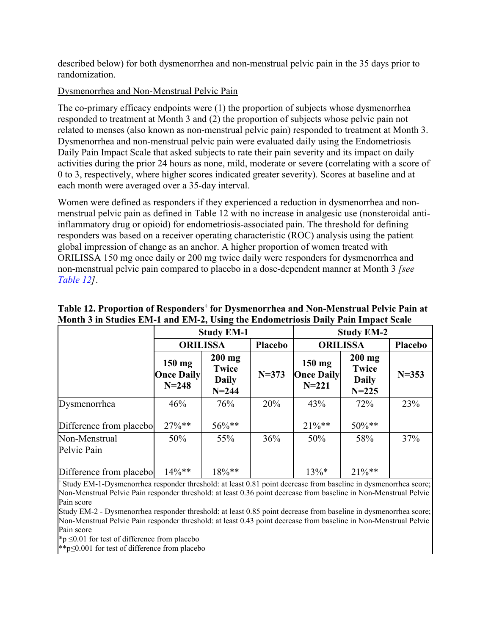described below) for both dysmenorrhea and non-menstrual pelvic pain in the 35 days prior to randomization.

## Dysmenorrhea and Non-Menstrual Pelvic Pain

The co-primary efficacy endpoints were (1) the proportion of subjects whose dysmenorrhea responded to treatment at Month 3 and (2) the proportion of subjects whose pelvic pain not related to menses (also known as non-menstrual pelvic pain) responded to treatment at Month 3. Dysmenorrhea and non-menstrual pelvic pain were evaluated daily using the Endometriosis Daily Pain Impact Scale that asked subjects to rate their pain severity and its impact on daily activities during the prior 24 hours as none, mild, moderate or severe (correlating with a score of 0 to 3, respectively, where higher scores indicated greater severity). Scores at baseline and at each month were averaged over a 35-day interval.

Women were defined as responders if they experienced a reduction in dysmenorrhea and nonmenstrual pelvic pain as defined in Table 12 with no increase in analgesic use (nonsteroidal antiinflammatory drug or opioid) for endometriosis-associated pain. The threshold for defining responders was based on a receiver operating characteristic (ROC) analysis using the patient global impression of change as an anchor. A higher proportion of women treated with ORILISSA 150 mg once daily or 200 mg twice daily were responders for dysmenorrhea and non-menstrual pelvic pain compared to placebo in a dose-dependent manner at Month 3 *[see [Table 12\]](#page-21-0)*.

|                              |                                            | <b>Study EM-1</b>                                     |           | <b>Study EM-2</b>                          |                                                       |           |  |
|------------------------------|--------------------------------------------|-------------------------------------------------------|-----------|--------------------------------------------|-------------------------------------------------------|-----------|--|
|                              |                                            | <b>ORILISSA</b>                                       | Placebo   |                                            | <b>ORILISSA</b><br>Placebo                            |           |  |
|                              | $150$ mg<br><b>Once Daily</b><br>$N = 248$ | $200$ mg<br><b>Twice</b><br><b>Daily</b><br>$N = 244$ | $N = 373$ | $150$ mg<br><b>Once Daily</b><br>$N = 221$ | $200$ mg<br><b>Twice</b><br><b>Daily</b><br>$N = 225$ | $N = 353$ |  |
| Dysmenorrhea                 | 46%                                        | 76%                                                   | 20%       | 43%                                        | 72%                                                   | 23%       |  |
| Difference from placebol     | $27\%**$                                   | $56\%$ **                                             |           | $21\%**$                                   | $50\%**$                                              |           |  |
| Non-Menstrual<br>Pelvic Pain | 50%                                        | 55%                                                   | 36%       | 50%                                        | 58%                                                   | 37%       |  |
| Difference from placebo      | $14\%**$                                   | $18\%$ **                                             |           | $13\%*$                                    | $21\%**$                                              |           |  |

## <span id="page-21-0"></span>**Table 12. Proportion of Responders† for Dysmenorrhea and Non-Menstrual Pelvic Pain at Month 3 in Studies EM-1 and EM-2, Using the Endometriosis Daily Pain Impact Scale**

† Study EM-1-Dysmenorrhea responder threshold: at least 0.81 point decrease from baseline in dysmenorrhea score; Non-Menstrual Pelvic Pain responder threshold: at least 0.36 point decrease from baseline in Non-Menstrual Pelvic Pain score

Study EM-2 - Dysmenorrhea responder threshold: at least 0.85 point decrease from baseline in dysmenorrhea score; Non-Menstrual Pelvic Pain responder threshold: at least 0.43 point decrease from baseline in Non-Menstrual Pelvic Pain score

\*p ≤0.01 for test of difference from placebo

\*\*p≤0.001 for test of difference from placebo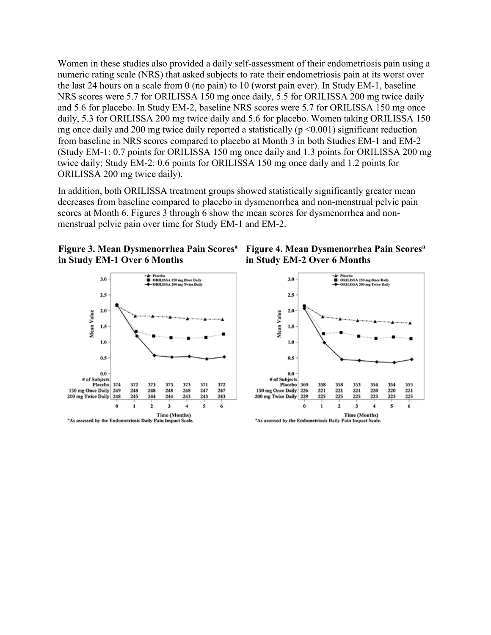Women in these studies also provided a daily self-assessment of their endometriosis pain using a numeric rating scale (NRS) that asked subjects to rate their endometriosis pain at its worst over the last 24 hours on a scale from 0 (no pain) to 10 (worst pain ever). In Study EM-1, baseline NRS scores were 5.7 for ORILISSA 150 mg once daily, 5.5 for ORILISSA 200 mg twice daily and 5.6 for placebo. In Study EM-2, baseline NRS scores were 5.7 for ORILISSA 150 mg once daily, 5.3 for ORILISSA 200 mg twice daily and 5.6 for placebo. Women taking ORILISSA 150 mg once daily and 200 mg twice daily reported a statistically ( $p \le 0.001$ ) significant reduction from baseline in NRS scores compared to placebo at Month 3 in both Studies EM-1 and EM-2 (Study EM-1: 0.7 points for ORILISSA 150 mg once daily and 1.3 points for ORILISSA 200 mg twice daily; Study EM-2: 0.6 points for ORILISSA 150 mg once daily and 1.2 points for ORILISSA 200 mg twice daily).

In addition, both ORILISSA treatment groups showed statistically significantly greater mean decreases from baseline compared to placebo in dysmenorrhea and non-menstrual pelvic pain scores at Month 6. Figures 3 through 6 show the mean scores for dysmenorrhea and nonmenstrual pelvic pain over time for Study EM-1 and EM-2.







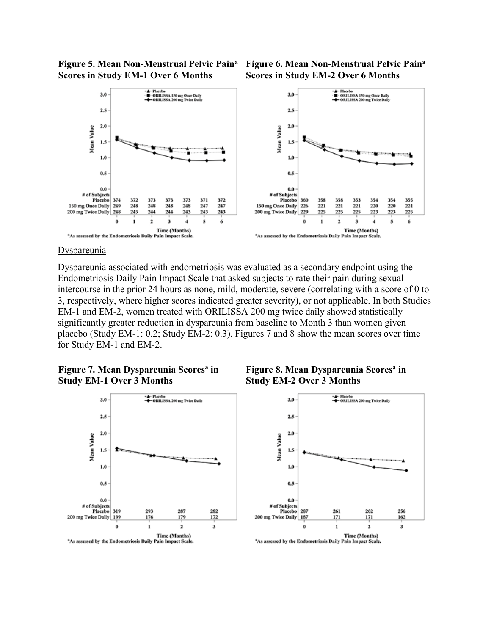**Figure 5. Mean Non-Menstrual Pelvic Pain<sup>a</sup> Scores in Study EM-1 Over 6 Months**





#### **Dyspareunia**

Dyspareunia associated with endometriosis was evaluated as a secondary endpoint using the Endometriosis Daily Pain Impact Scale that asked subjects to rate their pain during sexual intercourse in the prior 24 hours as none, mild, moderate, severe (correlating with a score of 0 to 3, respectively, where higher scores indicated greater severity), or not applicable. In both Studies EM-1 and EM-2, women treated with ORILISSA 200 mg twice daily showed statistically significantly greater reduction in dyspareunia from baseline to Month 3 than women given placebo (Study EM-1: 0.2; Study EM-2: 0.3). Figures 7 and 8 show the mean scores over time for Study EM-1 and EM-2.







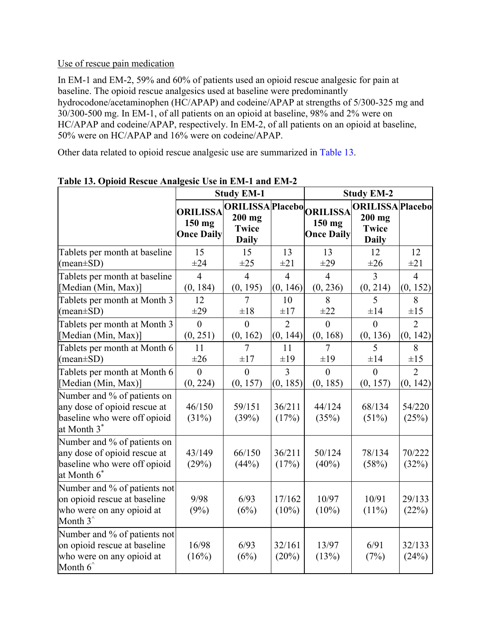### Use of rescue pain medication

In EM-1 and EM-2, 59% and 60% of patients used an opioid rescue analgesic for pain at baseline. The opioid rescue analgesics used at baseline were predominantly hydrocodone/acetaminophen (HC/APAP) and codeine/APAP at strengths of 5/300-325 mg and 30/300-500 mg. In EM-1, of all patients on an opioid at baseline, 98% and 2% were on HC/APAP and codeine/APAP, respectively. In EM-2, of all patients on an opioid at baseline, 50% were on HC/APAP and 16% were on codeine/APAP.

Other data related to opioid rescue analgesic use are summarized in [Table 13.](#page-24-0)

|                                                                                                                        |                                                | <b>Study EM-1</b>                                                    |                    | <b>Study EM-2</b>           |                                                                     |                 |
|------------------------------------------------------------------------------------------------------------------------|------------------------------------------------|----------------------------------------------------------------------|--------------------|-----------------------------|---------------------------------------------------------------------|-----------------|
|                                                                                                                        | <b>ORILISSA</b><br>150 mg<br><b>Once Daily</b> | ORILISSAPlacebo ORILISSA<br>$200$ mg<br><b>Twice</b><br><b>Daily</b> |                    | 150 mg<br><b>Once Daily</b> | <b>ORILISSA Placebo</b><br>$200$ mg<br><b>Twice</b><br><b>Daily</b> |                 |
| Tablets per month at baseline                                                                                          | 15                                             | 15                                                                   | 13                 | 13                          | 12                                                                  | 12              |
| $(\text{mean} \pm \text{SD})$                                                                                          | $\pm 24$                                       | $\pm 25$                                                             | $\pm 21$           | $\pm 29$                    | $\pm 26$                                                            | $\pm 21$        |
| Tablets per month at baseline                                                                                          | $\overline{4}$                                 | $\overline{4}$                                                       | $\overline{4}$     | $\overline{4}$              | 3                                                                   | $\overline{4}$  |
| [Median (Min, Max)]                                                                                                    | (0, 184)                                       | (0, 195)                                                             | (0, 146)           | (0, 236)                    | (0, 214)                                                            | (0, 152)        |
| Tablets per month at Month 3                                                                                           | 12                                             | 7                                                                    | 10                 | 8                           | 5                                                                   | 8               |
| $(\text{mean} \pm \text{SD})$                                                                                          | $\pm 29$                                       | $\pm 18$                                                             | $\pm 17$           | $\pm 22$                    | $\pm 14$                                                            | $\pm 15$        |
| Tablets per month at Month 3                                                                                           | $\theta$                                       | $\theta$                                                             | $\overline{2}$     | $\theta$                    | $\theta$                                                            | $\overline{2}$  |
| [Median (Min, Max)]                                                                                                    | (0, 251)                                       | (0, 162)                                                             | (0, 144)           | (0, 168)                    | (0, 136)                                                            | (0, 142)        |
| Tablets per month at Month 6                                                                                           | 11                                             | 7                                                                    | 11                 | 7                           | 5                                                                   | 8               |
| $(\text{mean} \pm \text{SD})$                                                                                          | $\pm 26$                                       | $\pm 17$                                                             | ±19                | $\pm 19$                    | $\pm 14$                                                            | $\pm 15$        |
| Tablets per month at Month 6                                                                                           | $\overline{0}$                                 | $\overline{0}$                                                       | $\overline{3}$     | $\overline{0}$              | $\overline{0}$                                                      | $\overline{2}$  |
| [Median (Min, Max)]                                                                                                    | (0, 224)                                       | (0, 157)                                                             | (0, 185)           | (0, 185)                    | (0, 157)                                                            | (0, 142)        |
| Number and % of patients on<br>any dose of opioid rescue at<br>baseline who were off opioid<br>at Month 3 <sup>*</sup> | 46/150<br>(31%)                                | 59/151<br>(39%)                                                      | 36/211<br>(17%)    | 44/124<br>(35%)             | 68/134<br>$(51\%)$                                                  | 54/220<br>(25%) |
| Number and % of patients on<br>any dose of opioid rescue at<br>baseline who were off opioid<br>at Month 6 <sup>*</sup> | 43/149<br>(29%)                                | 66/150<br>(44%)                                                      | 36/211<br>(17%)    | 50/124<br>$(40\%)$          | 78/134<br>(58%)                                                     | 70/222<br>(32%) |
| Number and % of patients not<br>on opioid rescue at baseline<br>who were on any opioid at<br>Month $3^{\hat{ }}$       | 9/98<br>(9%)                                   | 6/93<br>(6%)                                                         | 17/162<br>$(10\%)$ | 10/97<br>$(10\%)$           | 10/91<br>$(11\%)$                                                   | 29/133<br>(22%) |
| Number and % of patients not<br>on opioid rescue at baseline<br>who were on any opioid at<br>Month $6^{\degree}$       | 16/98<br>(16%)                                 | 6/93<br>(6%)                                                         | 32/161<br>(20%)    | 13/97<br>(13%)              | 6/91<br>(7%)                                                        | 32/133<br>(24%) |

<span id="page-24-0"></span>**Table 13. Opioid Rescue Analgesic Use in EM-1 and EM-2**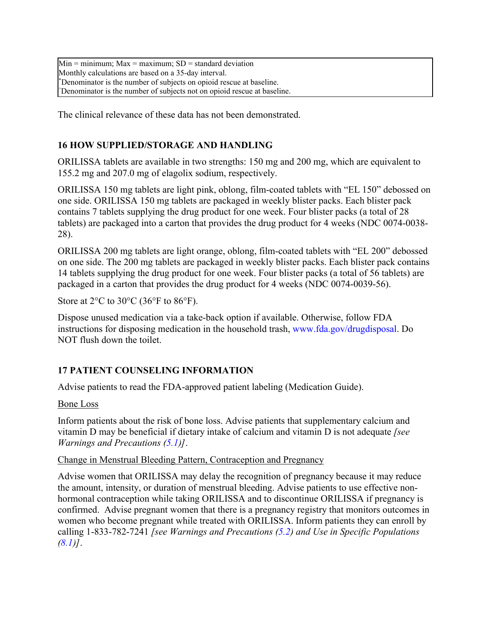$Min = minimum: Max = maximum: SD = standard deviation$ Monthly calculations are based on a 35-day interval. \*Denominator is the number of subjects on opioid rescue at baseline. ^Denominator is the number of subjects not on opioid rescue at baseline.

<span id="page-25-1"></span>The clinical relevance of these data has not been demonstrated.

## **16 HOW SUPPLIED/STORAGE AND HANDLING**

ORILISSA tablets are available in two strengths: 150 mg and 200 mg, which are equivalent to 155.2 mg and 207.0 mg of elagolix sodium, respectively.

ORILISSA 150 mg tablets are light pink, oblong, film-coated tablets with "EL 150" debossed on one side. ORILISSA 150 mg tablets are packaged in weekly blister packs. Each blister pack contains 7 tablets supplying the drug product for one week. Four blister packs (a total of 28 tablets) are packaged into a carton that provides the drug product for 4 weeks (NDC 0074-0038- 28).

ORILISSA 200 mg tablets are light orange, oblong, film-coated tablets with "EL 200" debossed on one side. The 200 mg tablets are packaged in weekly blister packs. Each blister pack contains 14 tablets supplying the drug product for one week. Four blister packs (a total of 56 tablets) are packaged in a carton that provides the drug product for 4 weeks (NDC 0074-0039-56).

Store at  $2^{\circ}$ C to  $30^{\circ}$ C (36 $^{\circ}$ F to 86 $^{\circ}$ F).

Dispose unused medication via a take-back option if available. Otherwise, follow FDA instructions for disposing medication in the household trash, www.fda.gov/drugdisposal. Do NOT flush down the toilet.

## <span id="page-25-0"></span>**17 PATIENT COUNSELING INFORMATION**

Advise patients to read the FDA-approved patient labeling (Medication Guide).

Bone Loss

Inform patients about the risk of bone loss. Advise patients that supplementary calcium and vitamin D may be beneficial if dietary intake of calcium and vitamin D is not adequate *[see Warnings and Precautions [\(5.1\)](#page-2-0)]*.

#### Change in Menstrual Bleeding Pattern, Contraception and Pregnancy

Advise women that ORILISSA may delay the recognition of pregnancy because it may reduce the amount, intensity, or duration of menstrual bleeding. Advise patients to use effective nonhormonal contraception while taking ORILISSA and to discontinue ORILISSA if pregnancy is confirmed. Advise pregnant women that there is a pregnancy registry that monitors outcomes in women who become pregnant while treated with ORILISSA. Inform patients they can enroll by calling 1-833-782-7241 *[see Warnings and Precautions [\(5.2\)](#page-3-3) and Use in Specific Populations [\(8.1\)](#page-12-0)]*.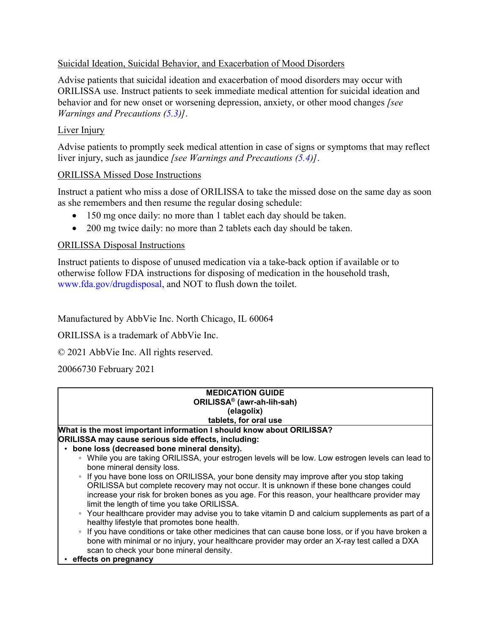## Suicidal Ideation, Suicidal Behavior, and Exacerbation of Mood Disorders

Advise patients that suicidal ideation and exacerbation of mood disorders may occur with ORILISSA use. Instruct patients to seek immediate medical attention for suicidal ideation and behavior and for new onset or worsening depression, anxiety, or other mood changes *[see Warnings and Precautions [\(5.3\)](#page-3-2)]*.

### Liver Injury

Advise patients to promptly seek medical attention in case of signs or symptoms that may reflect liver injury, such as jaundice *[see Warnings and Precautions [\(5.4\)](#page-3-1)]*.

### ORILISSA Missed Dose Instructions

Instruct a patient who miss a dose of ORILISSA to take the missed dose on the same day as soon as she remembers and then resume the regular dosing schedule:

- 150 mg once daily: no more than 1 tablet each day should be taken.
- 200 mg twice daily: no more than 2 tablets each day should be taken.

### ORILISSA Disposal Instructions

Instruct patients to dispose of unused medication via a take-back option if available or to otherwise follow FDA instructions for disposing of medication in the household trash, www.fda.gov/drugdisposal, and NOT to flush down the toilet.

Manufactured by AbbVie Inc. North Chicago, IL 60064

ORILISSA is a trademark of AbbVie Inc.

© 2021 AbbVie Inc. All rights reserved.

20066730 February 2021

| <b>MEDICATION GUIDE</b>                                                                                                                                                                                                                                                                                                                      |
|----------------------------------------------------------------------------------------------------------------------------------------------------------------------------------------------------------------------------------------------------------------------------------------------------------------------------------------------|
| ORILISSA <sup>®</sup> (awr-ah-lih-sah)                                                                                                                                                                                                                                                                                                       |
| (elagolix)                                                                                                                                                                                                                                                                                                                                   |
| tablets, for oral use                                                                                                                                                                                                                                                                                                                        |
| What is the most important information I should know about ORILISSA?                                                                                                                                                                                                                                                                         |
| ORILISSA may cause serious side effects, including:                                                                                                                                                                                                                                                                                          |
| • bone loss (decreased bone mineral density).                                                                                                                                                                                                                                                                                                |
| ∘ While you are taking ORILISSA, your estrogen levels will be low. Low estrogen levels can lead to<br>bone mineral density loss.                                                                                                                                                                                                             |
| If you have bone loss on ORILISSA, your bone density may improve after you stop taking<br>$\circ$<br>ORILISSA but complete recovery may not occur. It is unknown if these bone changes could<br>increase your risk for broken bones as you age. For this reason, your healthcare provider may<br>limit the length of time you take ORILISSA. |
| • Your healthcare provider may advise you to take vitamin D and calcium supplements as part of a<br>healthy lifestyle that promotes bone health.                                                                                                                                                                                             |
| If you have conditions or take other medicines that can cause bone loss, or if you have broken a<br>$\circ$<br>bone with minimal or no injury, your healthcare provider may order an X-ray test called a DXA<br>scan to check your bone mineral density.                                                                                     |
| effects on pregnancy                                                                                                                                                                                                                                                                                                                         |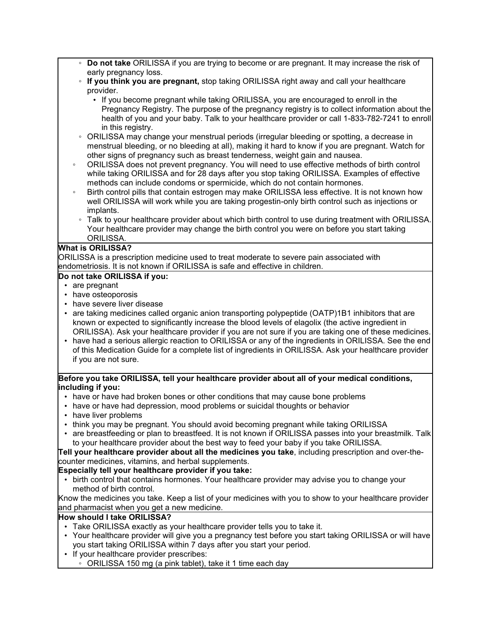- **Do not take** ORILISSA if you are trying to become or are pregnant. It may increase the risk of early pregnancy loss.
- **If you think you are pregnant,** stop taking ORILISSA right away and call your healthcare provider.
	- If you become pregnant while taking ORILISSA, you are encouraged to enroll in the Pregnancy Registry. The purpose of the pregnancy registry is to collect information about the health of you and your baby. Talk to your healthcare provider or call 1-833-782-7241 to enroll in this registry.
- ORILISSA may change your menstrual periods (irregular bleeding or spotting, a decrease in menstrual bleeding, or no bleeding at all), making it hard to know if you are pregnant. Watch for other signs of pregnancy such as breast tenderness, weight gain and nausea.
- ORILISSA does not prevent pregnancy. You will need to use effective methods of birth control while taking ORILISSA and for 28 days after you stop taking ORILISSA. Examples of effective methods can include condoms or spermicide, which do not contain hormones.
- Birth control pills that contain estrogen may make ORILISSA less effective. It is not known how well ORILISSA will work while you are taking progestin-only birth control such as injections or implants.
	- Talk to your healthcare provider about which birth control to use during treatment with ORILISSA. Your healthcare provider may change the birth control you were on before you start taking ORILISSA.

#### **What is ORILISSA?**

ORILISSA is a prescription medicine used to treat moderate to severe pain associated with endometriosis. It is not known if ORILISSA is safe and effective in children.

### **Do not take ORILISSA if you:**

- are pregnant
- have osteoporosis
- have severe liver disease
- are taking medicines called organic anion transporting polypeptide (OATP)1B1 inhibitors that are known or expected to significantly increase the blood levels of elagolix (the active ingredient in ORILISSA). Ask your healthcare provider if you are not sure if you are taking one of these medicines.
- have had a serious allergic reaction to ORILISSA or any of the ingredients in ORILISSA. See the end of this Medication Guide for a complete list of ingredients in ORILISSA. Ask your healthcare provider if you are not sure.

#### **Before you take ORILISSA, tell your healthcare provider about all of your medical conditions, including if you:**

- have or have had broken bones or other conditions that may cause bone problems
- have or have had depression, mood problems or suicidal thoughts or behavior
- have liver problems
- think you may be pregnant. You should avoid becoming pregnant while taking ORILISSA
- are breastfeeding or plan to breastfeed. It is not known if ORILISSA passes into your breastmilk. Talk to your healthcare provider about the best way to feed your baby if you take ORILISSA.

**Tell your healthcare provider about all the medicines you take**, including prescription and over-thecounter medicines, vitamins, and herbal supplements.

#### **Especially tell your healthcare provider if you take:**

• birth control that contains hormones. Your healthcare provider may advise you to change your method of birth control.

Know the medicines you take. Keep a list of your medicines with you to show to your healthcare provider and pharmacist when you get a new medicine.

#### **How should I take ORILISSA?**

- Take ORILISSA exactly as your healthcare provider tells you to take it.
- Your healthcare provider will give you a pregnancy test before you start taking ORILISSA or will have you start taking ORILISSA within 7 days after you start your period.
- If your healthcare provider prescribes:
	- ORILISSA 150 mg (a pink tablet), take it 1 time each day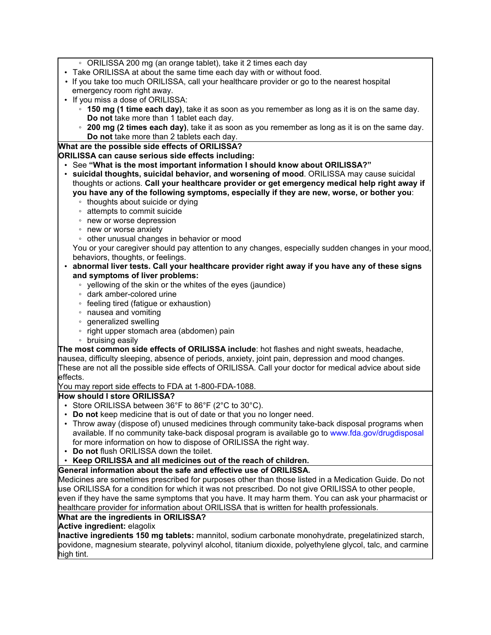- ORILISSA 200 mg (an orange tablet), take it 2 times each day
- Take ORILISSA at about the same time each day with or without food.
- If you take too much ORILISSA, call your healthcare provider or go to the nearest hospital emergency room right away.
- If you miss a dose of ORILISSA:
	- **150 mg (1 time each day)**, take it as soon as you remember as long as it is on the same day. **Do not** take more than 1 tablet each day.
	- **200 mg (2 times each day)**, take it as soon as you remember as long as it is on the same day. **Do not** take more than 2 tablets each day.

#### **What are the possible side effects of ORILISSA?**

#### **ORILISSA can cause serious side effects including:**

- See **"What is the most important information I should know about ORILISSA?"**
- **suicidal thoughts, suicidal behavior, and worsening of mood**. ORILISSA may cause suicidal thoughts or actions. **Call your healthcare provider or get emergency medical help right away if you have any of the following symptoms, especially if they are new, worse, or bother you**:
	- thoughts about suicide or dying
	- attempts to commit suicide
	- new or worse depression
	- new or worse anxiety
	- other unusual changes in behavior or mood

You or your caregiver should pay attention to any changes, especially sudden changes in your mood, behaviors, thoughts, or feelings.

- **abnormal liver tests. Call your healthcare provider right away if you have any of these signs and symptoms of liver problems:**
	- yellowing of the skin or the whites of the eyes (jaundice)
	- dark amber-colored urine
	- feeling tired (fatigue or exhaustion)
	- nausea and vomiting
	- generalized swelling
	- right upper stomach area (abdomen) pain
	- bruising easily

**The most common side effects of ORILISSA include**: hot flashes and night sweats, headache, nausea, difficulty sleeping, absence of periods, anxiety, joint pain, depression and mood changes. These are not all the possible side effects of ORILISSA. Call your doctor for medical advice about side effects.

You may report side effects to FDA at 1-800-FDA-1088.

#### **How should I store ORILISSA?**

- Store ORILISSA between 36°F to 86°F (2°C to 30°C).
- **Do not** keep medicine that is out of date or that you no longer need.
- Throw away (dispose of) unused medicines through community take-back disposal programs when available. If no community take-back disposal program is available go to www.fda.gov/drugdisposal for more information on how to dispose of ORILISSA the right way.
- **Do not** flush ORILISSA down the toilet.
- **Keep ORILISSA and all medicines out of the reach of children.**

#### **General information about the safe and effective use of ORILISSA.**

Medicines are sometimes prescribed for purposes other than those listed in a Medication Guide. Do not use ORILISSA for a condition for which it was not prescribed. Do not give ORILISSA to other people, even if they have the same symptoms that you have. It may harm them. You can ask your pharmacist or healthcare provider for information about ORILISSA that is written for health professionals.

#### **What are the ingredients in ORILISSA?**

#### **Active ingredient:** elagolix

**Inactive ingredients 150 mg tablets:** mannitol, sodium carbonate monohydrate, pregelatinized starch, povidone, magnesium stearate, polyvinyl alcohol, titanium dioxide, polyethylene glycol, talc, and carmine high tint.